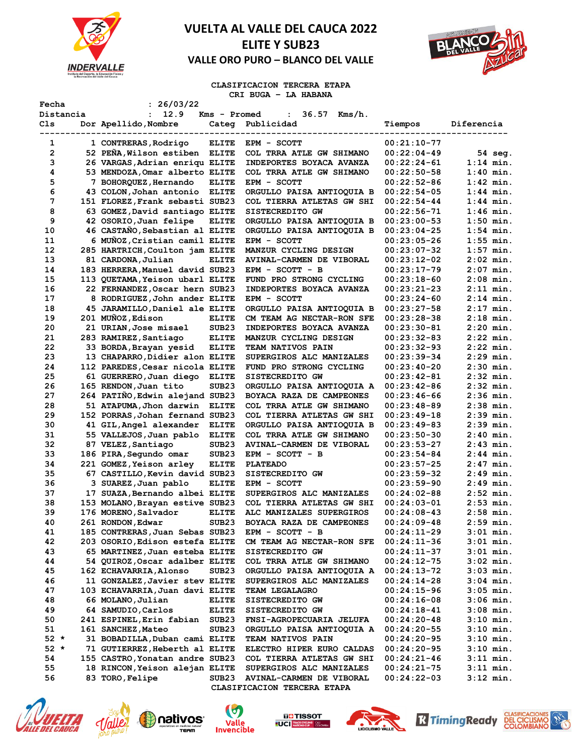



### **CLASIFICACION TERCERA ETAPA CRI BUGA – LA HABANA**

| Fecha             | : 26/03/22                                                       |                   |                                                       |                                |                            |
|-------------------|------------------------------------------------------------------|-------------------|-------------------------------------------------------|--------------------------------|----------------------------|
| Distancia         | 12.9<br>$\mathbf{L}$                                             | Kms - Promed      | $36.57$ Kms/h.<br>$\mathbf{L}$                        |                                |                            |
| Cls               | Dor Apellido, Nombre                                             |                   | Categ Publicidad                                      | Tiempos                        | Diferencia                 |
| . <u>.</u> .<br>1 | 1 CONTRERAS, Rodrigo                                             | <b>ELITE</b>      | -------------------------<br>EPM - SCOTT              | $00:21:10-77$                  |                            |
| $\overline{2}$    | 52 PEÑA, Wilson estiben ELITE                                    |                   | COL TRRA ATLE GW SHIMANO                              | $00:22:04-49$                  | 54 sea.                    |
| з                 | 26 VARGAS, Adrian enriqu ELITE                                   |                   | INDEPORTES BOYACA AVANZA                              | $00:22:24-61$                  | $1:14$ min.                |
| 4                 | 53 MENDOZA, Omar alberto ELITE                                   |                   | COL TRRA ATLE GW SHIMANO                              | $00:22:50-58$                  | $1:40$ min.                |
| 5                 | 7 BOHORQUEZ, Hernando                                            | <b>ELITE</b>      | EPM - SCOTT                                           | $00:22:52-86$                  | $1:42$ min.                |
| 6                 | 43 COLON, Johan antonio ELITE                                    |                   | ORGULLO PAISA ANTIOQUIA B                             | $00:22:54-05$                  | $1:44$ min.                |
| 7                 | 151 FLOREZ, Frank sebasti SUB23                                  |                   | COL TIERRA ATLETAS GW SHI                             | $00:22:54-44$                  | $1:44$ min.                |
| 8                 | 63 GOMEZ, David santiago ELITE                                   |                   | SISTECREDITO GW                                       | $00:22:56-71$                  | $1:46$ min.                |
| 9                 | 42 OSORIO, Juan felipe                                           | <b>ELITE</b>      | ORGULLO PAISA ANTIOQUIA B                             | $00:23:00-53$                  | $1:50$ min.                |
| 10                | 46 CASTANO, Sebastian al ELITE                                   |                   | ORGULLO PAISA ANTIOQUIA B                             | $00:23:04-25$                  | $1:54$ min.                |
| 11                | 6 MUÑOZ, Cristian camil ELITE                                    |                   | EPM - SCOTT                                           | 00:23:05-26                    | $1:55$ min.                |
| 12                | 285 HARTRICH, Coulton jam ELITE                                  |                   | MANZUR CYCLING DESIGN                                 | 00:23:07-32                    | $1:57$ min.                |
| 13                | 81 CARDONA, Julian                                               | <b>ELITE</b>      | <b>AVINAL-CARMEN DE VIBORAL</b>                       | $00:23:12-02$                  | $2:02$ min.                |
| 14                | 183 HERRERA, Manuel david SUB23                                  |                   | $EPM - SCOTT - B$                                     | $00:23:17-79$                  | $2:07$ min.                |
| 15                | 113 QUETAMA, Yeison ubarl ELITE                                  |                   | FUND PRO STRONG CYCLING                               | $00:23:18-60$                  | $2:08$ min.                |
| 16                | 22 FERNANDEZ, Oscar hern SUB23                                   |                   | INDEPORTES BOYACA AVANZA                              | 00:23:21-23                    | $2:11$ min.                |
| 17                | 8 RODRIGUEZ, John ander ELITE                                    |                   | EPM - SCOTT                                           | $00:23:24-60$                  | $2:14$ min.                |
| 18                | 45 JARAMILLO, Daniel ale ELITE                                   |                   | ORGULLO PAISA ANTIOQUIA B                             | $00:23:27-58$                  | $2:17$ min.                |
| 19                | 201 MUÑOZ, Edison                                                | <b>ELITE</b>      | CM TEAM AG NECTAR-RON SFE                             | $00:23:28-38$                  | $2:18$ min.                |
| 20                | 21 URIAN, Jose misael                                            | SUB <sub>23</sub> | INDEPORTES BOYACA AVANZA                              | $00:23:30-81$                  | $2:20$ min.                |
| 21                | 283 RAMIREZ, Santiago                                            | <b>ELITE</b>      | MANZUR CYCLING DESIGN                                 | $00:23:32-83$                  | $2:22$ min.                |
| 22                | 33 BORDA, Brayan yesid                                           | <b>ELITE</b>      | <b>TEAM NATIVOS PAIN</b>                              | $00:23:32-93$                  | $2:22$ min.                |
| 23                | 13 CHAPARRO, Didier alon ELITE                                   |                   | SUPERGIROS ALC MANIZALES                              | 00:23:39-34                    | $2:29$ min.                |
| 24                | 112 PAREDES, Cesar nicola ELITE                                  |                   | FUND PRO STRONG CYCLING                               | $00:23:40-20$                  | $2:30$ min.                |
| 25                | 61 GUERRERO, Juan diego                                          | <b>ELITE</b>      | SISTECREDITO GW                                       | $00:23:42-81$                  | $2:32$ min.                |
| 26                | 165 RENDON, Juan tito                                            | SUB <sub>23</sub> | ORGULLO PAISA ANTIOQUIA A                             | $00:23:42-86$                  | $2:32$ min.                |
| 27                | 264 PATIÑO, Edwin alejand SUB23                                  |                   | BOYACA RAZA DE CAMPEONES                              | $00:23:46-66$                  | $2:36$ min.                |
| 28                | 51 ATAPUMA, Jhon darwin                                          | <b>ELITE</b>      | COL TRRA ATLE GW SHIMANO                              | $00:23:48-89$                  | $2:38$ min.                |
| 29                | 152 PORRAS, Johan fernand SUB23                                  |                   | COL TIERRA ATLETAS GW SHI                             | $00:23:49-18$                  | $2:39$ min.                |
| 30                | 41 GIL, Angel alexander                                          | <b>ELITE</b>      | ORGULLO PAISA ANTIOQUIA B                             | $00:23:49-83$                  | $2:39$ min.                |
| 31                | 55 VALLEJOS, Juan pablo                                          | <b>ELITE</b>      | COL TRRA ATLE GW SHIMANO                              | $00:23:50-30$                  | $2:40$ min.                |
| 32                | 87 VELEZ, Santiago                                               | SUB <sub>23</sub> | <b>AVINAL-CARMEN DE VIBORAL</b>                       | $00:23:53-27$                  | $2:43$ min.                |
| 33                | 186 PIRA, Segundo omar                                           | SUB <sub>23</sub> | EPM - SCOTT - B                                       | $00:23:54-84$                  | $2:44$ min.                |
| 34                | 221 GOMEZ, Yeison arley                                          | <b>ELITE</b>      | <b>PLATEADO</b>                                       | $00:23:57-25$                  | $2:47$ min.                |
| 35                | 67 CASTILLO, Kevin david SUB23                                   |                   | SISTECREDITO GW                                       | $00:23:59-32$                  | $2:49$ min.                |
| 36                | 3 SUAREZ, Juan pablo                                             | <b>ELITE</b>      | EPM - SCOTT                                           | $00:23:59-90$                  | $2:49$ min.                |
| 37                | 17 SUAZA, Bernando albei ELITE                                   |                   | SUPERGIROS ALC MANIZALES                              | $00:24:02-88$                  | $2:52$ min.                |
| 38                | 153 MOLANO, Brayan estive SUB23                                  |                   | COL TIERRA ATLETAS GW SHI                             | $00:24:03-01$                  | $2:53$ min.                |
| 39                | 176 MORENO, Salvador                                             | <b>ELITE</b>      | ALC MANIZALES SUPERGIROS                              | $00:24:08-43$                  | $2:58$ min.                |
| 40                | 261 RONDON, Edwar                                                | SUB <sub>23</sub> | BOYACA RAZA DE CAMPEONES                              | $00:24:09-48$                  | $2:59$ min.                |
| 41<br>42          | 185 CONTRERAS, Juan Sebas SUB23                                  |                   | $EPM - SCOTT - B$                                     | $00:24:11-29$<br>$00:24:11-36$ | $3:01$ min.<br>$3:01$ min. |
| 43                | 203 OSORIO, Edison estefa ELITE                                  |                   | CM TEAM AG NECTAR-RON SFE<br>SISTECREDITO GW          | $00:24:11-37$                  |                            |
| 44                | 65 MARTINEZ, Juan esteba ELITE<br>54 QUIROZ, Oscar adalber ELITE |                   | COL TRRA ATLE GW SHIMANO                              | $00:24:12-75$                  | 3:01 min.<br>$3:02$ min.   |
| 45                |                                                                  | SUB <sub>23</sub> |                                                       |                                |                            |
| 46                | 162 ECHAVARRIA, Alonso<br>11 GONZALEZ, Javier stev ELITE         |                   | ORGULLO PAISA ANTIOQUIA A<br>SUPERGIROS ALC MANIZALES | $00:24:13-72$                  | 3:03 min.<br>3:04 min.     |
| 47                | 103 ECHAVARRIA, Juan davi ELITE                                  |                   | TEAM LEGALAGRO                                        | $00:24:14-28$<br>$00:24:15-96$ | 3:05 min.                  |
| 48                | 66 MOLANO, Julian                                                | <b>ELITE</b>      | SISTECREDITO GW                                       |                                | 3:06 min.                  |
| 49                | 64 SAMUDIO, Carlos                                               | <b>ELITE</b>      | SISTECREDITO GW                                       | $00:24:16-08$<br>$00:24:18-41$ | 3:08 min.                  |
| 50                | 241 ESPINEL, Erin fabian                                         | SUB <sub>23</sub> | FNSI-AGROPECUARIA JELUFA                              | $00:24:20-48$                  | 3:10 min.                  |
| 51                | 161 SANCHEZ, Mateo                                               | SUB <sub>23</sub> | ORGULLO PAISA ANTIOQUIA A                             | $00:24:20-55$                  | 3:10 min.                  |
| $52 *$            | 31 BOBADILLA, Duban cami ELITE                                   |                   | TEAM NATIVOS PAIN                                     | $00:24:20-95$                  | 3:10 min.                  |
| $52 *$            | 71 GUTIERREZ, Heberth al ELITE                                   |                   | ELECTRO HIPER EURO CALDAS                             | $00:24:20-95$                  | 3:10 min.                  |
| 54                | 155 CASTRO, Yonatan andre SUB23                                  |                   | COL TIERRA ATLETAS GW SHI                             | $00:24:21-46$                  | $3:11$ min.                |
| 55                | 18 RINCON, Yeison alejan ELITE                                   |                   | SUPERGIROS ALC MANIZALES                              | 00:24:21-75                    | $3:11$ min.                |
| 56                | 83 TORO, Felipe                                                  | SUB <sub>23</sub> | AVINAL-CARMEN DE VIBORAL                              | $00:24:22-03$                  | 3:12 min.                  |
|                   |                                                                  |                   | CLASIFICACION TERCERA ETAPA                           |                                |                            |













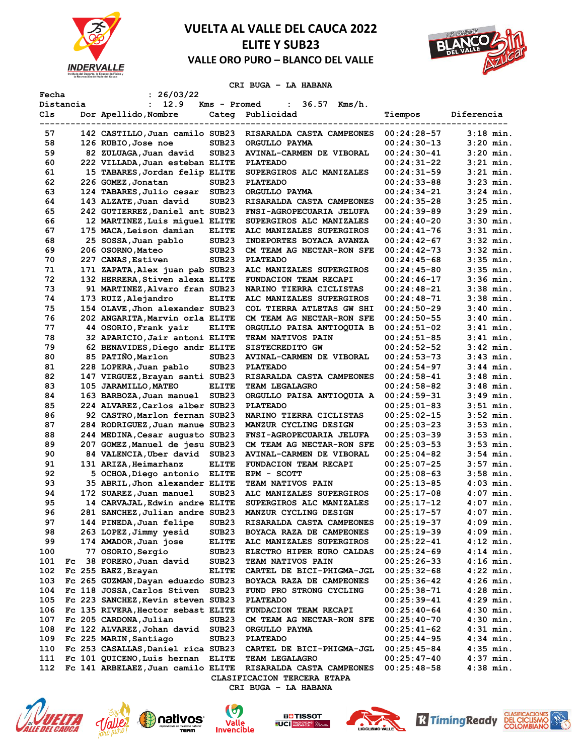



**CRI BUGA – LA HABANA** 

| Fecha     |    | : 26/03/22                         |                   |                                |               |                            |
|-----------|----|------------------------------------|-------------------|--------------------------------|---------------|----------------------------|
| Distancia |    | 12.9<br>$\mathbf{L}$               | Kms - Promed      | $36.57$ Kms/h.<br>$\mathbf{1}$ |               |                            |
| Cls       |    | Dor Apellido, Nombre               |                   | Categ Publicidad               | Tiempos       | Diferencia                 |
|           |    |                                    |                   |                                |               |                            |
| 57        |    | 142 CASTILLO, Juan camilo SUB23    |                   | RISARALDA CASTA CAMPEONES      | $00:24:28-57$ | $3:18$ min.                |
| 58        |    | 126 RUBIO, Jose noe                | SUB <sub>23</sub> | ORGULLO PAYMA                  | $00:24:30-13$ | $3:20$ min.                |
| 59        |    | 82 ZULUAGA, Juan david             | SUB <sub>23</sub> | AVINAL-CARMEN DE VIBORAL       | $00:24:30-41$ | $3:20$ min.                |
| 60        |    | 222 VILLADA, Juan esteban ELITE    |                   | <b>PLATEADO</b>                | $00:24:31-22$ | 3:21 min.                  |
| 61        |    | 15 TABARES, Jordan felip ELITE     |                   | SUPERGIROS ALC MANIZALES       | $00:24:31-59$ | $3:21$ min.                |
| 62        |    | 226 GOMEZ, Jonatan                 | SUB <sub>23</sub> | <b>PLATEADO</b>                | $00:24:33-88$ | $3:23$ min.                |
| 63        |    | 124 TABARES, Julio cesar           | SUB <sub>23</sub> | ORGULLO PAYMA                  | $00:24:34-21$ | $3:24$ min.                |
| 64        |    | 143 ALZATE, Juan david             | SUB <sub>23</sub> | RISARALDA CASTA CAMPEONES      | $00:24:35-28$ | $3:25$ min.                |
| 65        |    | 242 GUTIERREZ, Daniel ant SUB23    |                   | FNSI-AGROPECUARIA JELUFA       | $00:24:39-89$ | $3:29$ min.                |
| 66        |    | 12 MARTINEZ, Luis miquel ELITE     |                   | SUPERGIROS ALC MANIZALES       | $00:24:40-20$ | $3:30$ min.                |
| 67        |    | 175 MACA, Leison damian            | <b>ELITE</b>      | ALC MANIZALES SUPERGIROS       | $00:24:41-76$ | $3:31$ min.                |
| 68        |    | 25 SOSSA, Juan pablo               | SUB <sub>23</sub> | INDEPORTES BOYACA AVANZA       | 00:24:42-67   | $3:32$ min.                |
| 69        |    | 206 OSORNO, Mateo                  | SUB <sub>23</sub> | CM TEAM AG NECTAR-RON SFE      | $00:24:42-73$ | $3:32$ min.                |
| 70        |    | 227 CANAS, Estiven                 | SUB <sub>23</sub> | <b>PLATEADO</b>                | $00:24:45-68$ | $3:35$ min.                |
| 71        |    | 171 ZAPATA, Alex juan pab SUB23    |                   | ALC MANIZALES SUPERGIROS       | $00:24:45-80$ | $3:35$ min.                |
| 72        |    | 132 HERRERA, Stiven alexa ELITE    |                   | FUNDACION TEAM RECAPI          | $00:24:46-17$ | $3:36$ min.                |
| 73        |    | 91 MARTINEZ, Alvaro fran SUB23     |                   | NARINO TIERRA CICLISTAS        | $00:24:48-21$ | $3:38$ min.                |
| 74        |    | 173 RUIZ, Alejandro                | <b>ELITE</b>      | ALC MANIZALES SUPERGIROS       | $00:24:48-71$ | $3:38$ min.                |
| 75        |    | 154 OLAVE, Jhon alexander SUB23    |                   | COL TIERRA ATLETAS GW SHI      | $00:24:50-29$ | $3:40$ min.                |
| 76        |    | 202 ANGARITA, Marvin orla ELITE    |                   | CM TEAM AG NECTAR-RON SFE      | $00:24:50-55$ | $3:40$ min.                |
| 77        |    | 44 OSORIO, Frank yair              | <b>ELITE</b>      | ORGULLO PAISA ANTIOQUIA B      | 00:24:51-02   | $3:41$ min.                |
| 78        |    | 32 APARICIO, Jair antoni ELITE     |                   | <b>TEAM NATIVOS PAIN</b>       | $00:24:51-85$ | $3:41$ min.                |
| 79        |    | 62 BENAVIDES, Diego andr ELITE     |                   | SISTECREDITO GW                | $00:24:52-52$ | $3:42$ min.                |
| 80        |    | 85 PATIÑO, Marlon                  | SUB23             | AVINAL-CARMEN DE VIBORAL       | $00:24:53-73$ | $3:43$ min.                |
| 81        |    | 228 LOPERA, Juan pablo             | SUB <sub>23</sub> | <b>PLATEADO</b>                | $00:24:54-97$ | $3:44$ min.                |
| 82        |    | 147 VIRGUEZ, Brayan santi SUB23    |                   | RISARALDA CASTA CAMPEONES      | $00:24:58-41$ | $3:48$ min.                |
| 83        |    | 105 JARAMILLO, MATEO               | <b>ELITE</b>      | <b>TEAM LEGALAGRO</b>          | $00:24:58-82$ | $3:48$ min.                |
| 84        |    | 163 BARBOZA, Juan manuel           | SUB <sub>23</sub> | ORGULLO PAISA ANTIOQUIA A      | $00:24:59-31$ | $3:49$ min.                |
| 85        |    | 224 ALVAREZ, Carlos alber SUB23    |                   | <b>PLATEADO</b>                | $00:25:01-83$ | $3:51$ min.                |
| 86        |    |                                    |                   | NARINO TIERRA CICLISTAS        |               |                            |
|           |    | 92 CASTRO, Marlon fernan SUB23     |                   |                                | $00:25:02-15$ | $3:52$ min.<br>$3:53$ min. |
| 87        |    | 284 RODRIGUEZ, Juan manue SUB23    |                   | MANZUR CYCLING DESIGN          | $00:25:03-23$ |                            |
| 88        |    | 244 MEDINA, Cesar augusto SUB23    |                   | FNSI-AGROPECUARIA JELUFA       | $00:25:03-39$ | $3:53$ min.                |
| 89        |    | 207 GOMEZ, Manuel de jesu SUB23    |                   | CM TEAM AG NECTAR-RON SFE      | $00:25:03-53$ | $3:53$ min.                |
| 90        |    | 84 VALENCIA, Uber david            | SUB <sub>23</sub> | AVINAL-CARMEN DE VIBORAL       | $00:25:04-82$ | $3:54$ min.                |
| 91        |    | 131 ARIZA, Heimarhanz              | <b>ELITE</b>      | FUNDACION TEAM RECAPI          | 00:25:07-25   | $3:57$ min.                |
| 92        |    | 5 OCHOA, Diego antonio ELITE       |                   | EPM - SCOTT                    | $00:25:08-63$ | $3:58$ min.                |
| 93        |    | 35 ABRIL, Jhon alexander ELITE     |                   | TEAM NATIVOS PAIN              | $00:25:13-85$ | $4:03$ min.                |
| 94        |    | 172 SUAREZ, Juan manuel            | SUB <sub>23</sub> | ALC MANIZALES SUPERGIROS       | $00:25:17-08$ | $4:07$ min.                |
| 95        |    | 14 CARVAJAL, Edwin andre ELITE     |                   | SUPERGIROS ALC MANIZALES       | 00:25:17-12   | $4:07$ min.                |
| 96        |    | 281 SANCHEZ, Julian andre SUB23    |                   | MANZUR CYCLING DESIGN          | $00:25:17-57$ | $4:07$ min.                |
| 97        |    | 144 PINEDA, Juan felipe            | SUB <sub>23</sub> | RISARALDA CASTA CAMPEONES      | $00:25:19-37$ | 4:09 min.                  |
| 98        |    | 263 LOPEZ, Jimmy yesid             | SUB <sub>23</sub> | BOYACA RAZA DE CAMPEONES       | $00:25:19-39$ | $4:09$ min.                |
| 99        |    | 174 AMADOR, Juan jose              | <b>ELITE</b>      | ALC MANIZALES SUPERGIROS       | 00:25:22-41   | $4:12$ min.                |
| 100       |    | 77 OSORIO, Sergio                  | SUB <sub>23</sub> | ELECTRO HIPER EURO CALDAS      | $00:25:24-69$ | $4:14$ min.                |
| 101       | Fc | 38 FORERO, Juan david              | SUB <sub>23</sub> | <b>TEAM NATIVOS PAIN</b>       | $00:25:26-33$ | $4:16$ min.                |
| 102       |    | Fc 255 BAEZ, Brayan                | <b>ELITE</b>      | CARTEL DE BICI-PHIGMA-JGL      | $00:25:32-68$ | $4:22$ min.                |
| 103       |    | Fc 265 GUZMAN, Dayan eduardo SUB23 |                   | BOYACA RAZA DE CAMPEONES       | $00:25:36-42$ | $4:26$ min.                |
| 104       |    | Fc 118 JOSSA, Carlos Stiven        | SUB <sub>23</sub> | FUND PRO STRONG CYCLING        | 00:25:38-71   | $4:28$ min.                |
| 105       |    | Fc 223 SANCHEZ, Kevin steven SUB23 |                   | <b>PLATEADO</b>                | 00:25:39-41   | $4:29$ min.                |
| 106       |    | Fc 135 RIVERA, Hector sebast ELITE |                   | FUNDACION TEAM RECAPI          | $00:25:40-64$ | $4:30$ min.                |
| 107       |    | Fc 205 CARDONA, Julian             | SUB <sub>23</sub> | CM TEAM AG NECTAR-RON SFE      | $00:25:40-70$ | $4:30$ min.                |
| 108       |    | Fc 122 ALVAREZ, Johan david        | SUB <sub>23</sub> | ORGULLO PAYMA                  | $00:25:41-62$ | $4:31$ min.                |
| 109       |    | Fc 225 MARIN, Santiago             | SUB <sub>23</sub> | <b>PLATEADO</b>                | $00:25:44-95$ | 4:34 min.                  |
| 110       |    | Fc 253 CASALLAS, Daniel rica SUB23 |                   | CARTEL DE BICI-PHIGMA-JGL      | $00:25:45-84$ | $4:35$ min.                |
| 111       |    | Fc 101 QUICENO, Luis hernan        | <b>ELITE</b>      | TEAM LEGALAGRO                 | $00:25:47-40$ | $4:37$ min.                |
| 112       |    | Fc 141 ARBELAEZ, Juan camilo ELITE |                   | RISARALDA CASTA CAMPEONES      | $00:25:48-58$ | $4:38$ min.                |
|           |    |                                    |                   | CLASIFICACION TERCERA ETAPA    |               |                            |















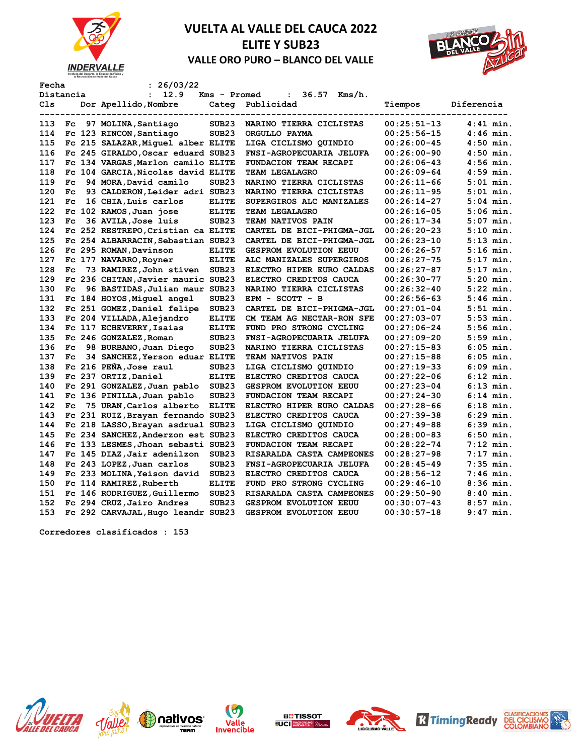



| Fecha      |              | : 26/03/22                         |                   |                                |               |             |
|------------|--------------|------------------------------------|-------------------|--------------------------------|---------------|-------------|
|            | Distancia    | 12.9<br>$\ddot{\phantom{a}}$       | Kms - Promed      | $36.57$ Kms/h.<br>$\mathbf{L}$ |               |             |
| Cls<br>--- | ------       | Dor Apellido, Nombre<br>---------  | ------            | Categ Publicidad               | Tiempos       | Diferencia  |
| 113        |              | Fc 97 MOLINA, Santiago             | SUB <sub>23</sub> | NARINO TIERRA CICLISTAS        | $00:25:51-13$ | $4:41$ min. |
| 114        |              | Fc 123 RINCON, Santiago            | SUB <sub>23</sub> | ORGULLO PAYMA                  | $00:25:56-15$ | $4:46$ min. |
| 115        |              | Fc 215 SALAZAR, Miquel alber ELITE |                   | LIGA CICLISMO QUINDIO          | $00:26:00-45$ | $4:50$ min. |
| 116        |              | Fc 245 GIRALDO, Oscar eduard SUB23 |                   | FNSI-AGROPECUARIA JELUFA       | $00:26:00-90$ | $4:50$ min. |
| 117        |              | Fc 134 VARGAS, Marlon camilo ELITE |                   | FUNDACION TEAM RECAPI          | $00:26:06-43$ | $4:56$ min. |
| 118        |              | Fc 104 GARCIA, Nicolas david ELITE |                   | TEAM LEGALAGRO                 | $00:26:09-64$ | $4:59$ min. |
| 119        | $_{\rm{Fc}}$ | 94 MORA, David camilo              | SUB <sub>23</sub> | NARINO TIERRA CICLISTAS        | $00:26:11-66$ | $5:01$ min. |
| 120        | $_{\rm{Fc}}$ | 93 CALDERON, Leider adri SUB23     |                   | NARINO TIERRA CICLISTAS        | $00:26:11-95$ | $5:01$ min. |
| 121        | $_{\rm FC}$  | 16 CHIA, Luis carlos               | <b>ELITE</b>      | SUPERGIROS ALC MANIZALES       | $00:26:14-27$ | $5:04$ min. |
| 122        |              | Fc 102 RAMOS, Juan jose            | <b>ELITE</b>      | TEAM LEGALAGRO                 | $00:26:16-05$ | $5:06$ min. |
| 123        | $_{\rm{Fc}}$ | 36 AVILA, Jose luis                | SUB <sub>23</sub> | TEAM NATIVOS PAIN              | $00:26:17-34$ | $5:07$ min. |
| 124        |              | Fc 252 RESTREPO, Cristian ca ELITE |                   | CARTEL DE BICI-PHIGMA-JGL      | $00:26:20-23$ | $5:10$ min. |
| 125        |              | Fc 254 ALBARRACIN, Sebastian SUB23 |                   | CARTEL DE BICI-PHIGMA-JGL      | $00:26:23-10$ | $5:13$ min. |
| 126        |              | Fc 295 ROMAN, Davinson             | <b>ELITE</b>      | <b>GESPROM EVOLUTION EEUU</b>  | $00:26:26-57$ | $5:16$ min. |
| 127        |              | Fc 177 NAVARRO, Royner             | <b>ELITE</b>      | ALC MANIZALES SUPERGIROS       | $00:26:27-75$ | $5:17$ min. |
| 128        | $_{\rm{Fc}}$ | 73 RAMIREZ, John stiven            | SUB <sub>23</sub> | ELECTRO HIPER EURO CALDAS      | $00:26:27-87$ | $5:17$ min. |
| 129        |              | Fc 236 CHITAN, Javier mauric SUB23 |                   | ELECTRO CREDITOS CAUCA         | $00:26:30-77$ | $5:20$ min. |
| 130        |              | Fc 96 BASTIDAS, Julian maur SUB23  |                   | NARINO TIERRA CICLISTAS        | $00:26:32-40$ | $5:22$ min. |
| 131        |              | Fc 184 HOYOS, Miquel angel         | SUB <sub>23</sub> | EPM - SCOTT - B                | $00:26:56-63$ | $5:46$ min. |
| 132        |              | Fc 251 GOMEZ, Daniel felipe        | SUB <sub>23</sub> | CARTEL DE BICI-PHIGMA-JGL      | $00:27:01-04$ | $5:51$ min. |
| 133        |              | Fc 204 VILLADA, Alejandro          | <b>ELITE</b>      | CM TEAM AG NECTAR-RON SFE      | $00:27:03-07$ | $5:53$ min. |
| 134        |              | Fc 117 ECHEVERRY, Isaias           | <b>ELITE</b>      | FUND PRO STRONG CYCLING        | $00:27:06-24$ | $5:56$ min. |
| 135        |              | Fc 246 GONZALEZ, Roman             | SUB <sub>23</sub> | FNSI-AGROPECUARIA JELUFA       | $00:27:09-20$ | $5:59$ min. |
| 136        | $_{\rm FC}$  | 98 BURBANO, Juan Diego             | SUB <sub>23</sub> | NARINO TIERRA CICLISTAS        | $00:27:15-83$ | $6:05$ min. |
| 137        | $_{\rm FC}$  | 34 SANCHEZ, Yerson eduar ELITE     |                   | TEAM NATIVOS PAIN              | $00:27:15-88$ | $6:05$ min. |
| 138        |              | Fc 216 PEÑA, Jose raul             | SUB <sub>23</sub> | LIGA CICLISMO QUINDIO          | $00:27:19-33$ | $6:09$ min. |
| 139        |              | Fc 237 ORTIZ, Daniel               | <b>ELITE</b>      | ELECTRO CREDITOS CAUCA         | $00:27:22-06$ | $6:12$ min. |
| 140        |              | Fc 291 GONZALEZ, Juan pablo        | SUB <sub>23</sub> | <b>GESPROM EVOLUTION EEUU</b>  | $00:27:23-04$ | $6:13$ min. |
| 141        |              | Fc 136 PINILLA, Juan pablo         | SUB <sub>23</sub> | <b>FUNDACION TEAM RECAPI</b>   | $00:27:24-30$ | $6:14$ min. |
| 142        | $_{\rm{Fc}}$ | 75 URAN, Carlos alberto            | <b>ELITE</b>      | ELECTRO HIPER EURO CALDAS      | $00:27:28-66$ | $6:18$ min. |
| 143        |              | Fc 231 RUIZ, Brayan fernando SUB23 |                   | ELECTRO CREDITOS CAUCA         | $00:27:39-38$ | $6:29$ min. |
| 144        |              | Fc 218 LASSO, Brayan asdrual SUB23 |                   | LIGA CICLISMO QUINDIO          | $00:27:49-88$ | $6:39$ min. |
| 145        |              | Fc 234 SANCHEZ, Anderzon est SUB23 |                   | ELECTRO CREDITOS CAUCA         | $00:28:00-83$ | $6:50$ min. |
| 146        |              | Fc 133 LESMES, Jhoan sebasti SUB23 |                   | FUNDACION TEAM RECAPI          | $00:28:22-74$ | $7:12$ min. |
| 147        |              | Fc 145 DIAZ, Jair adenilzon        | SUB <sub>23</sub> | RISARALDA CASTA CAMPEONES      | $00:28:27-98$ | $7:17$ min. |
| 148        |              | Fc 243 LOPEZ, Juan carlos          | SUB <sub>23</sub> | FNSI-AGROPECUARIA JELUFA       | $00:28:45-49$ | $7:35$ min. |
| 149        |              | Fc 233 MOLINA, Yeison david        | SUB <sub>23</sub> | ELECTRO CREDITOS CAUCA         | $00:28:56-12$ | $7:46$ min. |
| 150        |              | Fc 114 RAMIREZ, Ruberth            | <b>ELITE</b>      | FUND PRO STRONG CYCLING        | $00:29:46-10$ | $8:36$ min. |
| 151        |              | Fc 146 RODRIGUEZ, Guillermo        | SUB <sub>23</sub> | RISARALDA CASTA CAMPEONES      | $00:29:50-90$ | $8:40$ min. |
| 152        |              | Fc 294 CRUZ, Jairo Andres          | SUB <sub>23</sub> | <b>GESPROM EVOLUTION EEUU</b>  | $00:30:07-43$ | $8:57$ min. |
| 153        |              | Fc 292 CARVAJAL, Hugo leandr SUB23 |                   | <b>GESPROM EVOLUTION EEUU</b>  | $00:30:57-18$ | $9:47$ min. |
|            |              |                                    |                   |                                |               |             |

**Corredores clasificados : 153**













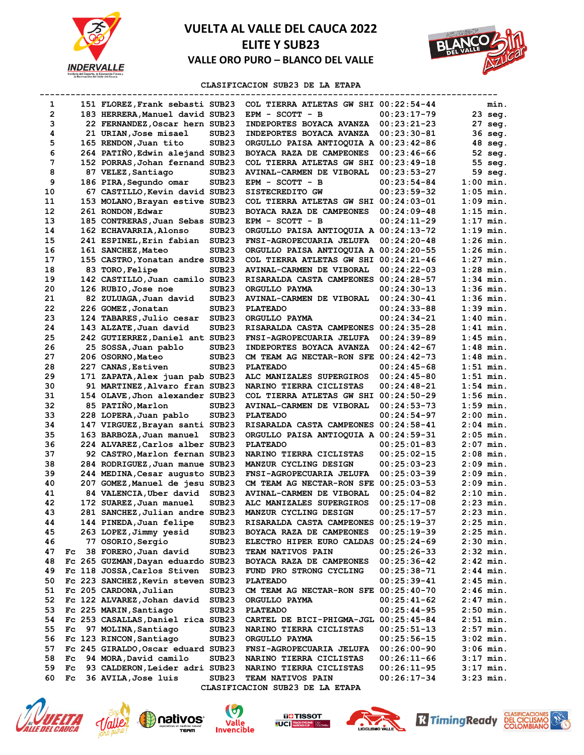



### **CLASIFICACION SUB23 DE LA ETAPA**

| 1              |              | 151 FLOREZ, Frank sebasti SUB23    |                   | COL TIERRA ATLETAS GW SHI 00:22:54-44 |               | min.        |
|----------------|--------------|------------------------------------|-------------------|---------------------------------------|---------------|-------------|
| $\overline{2}$ |              | 183 HERRERA, Manuel david SUB23    |                   | EPM - SCOTT - B                       | $00:23:17-79$ | 23 seg.     |
| з              |              | 22 FERNANDEZ, Oscar hern SUB23     |                   | INDEPORTES BOYACA AVANZA              | $00:23:21-23$ | 27 seg.     |
| 4              |              | 21 URIAN, Jose misael              | SUB <sub>23</sub> | INDEPORTES BOYACA AVANZA              | $00:23:30-81$ | 36 seg.     |
| 5              |              | 165 RENDON, Juan tito              | SUB <sub>23</sub> | ORGULLO PAISA ANTIOQUIA A 00:23:42-86 |               | 48 seg.     |
| 6              |              | 264 PATINO, Edwin alejand SUB23    |                   | BOYACA RAZA DE CAMPEONES              | $00:23:46-66$ | 52 seg.     |
| 7              |              | 152 PORRAS, Johan fernand SUB23    |                   | COL TIERRA ATLETAS GW SHI             | $00:23:49-18$ | 55 seg.     |
| 8              |              | 87 VELEZ, Santiago                 | SUB <sub>23</sub> | AVINAL-CARMEN DE VIBORAL              | 00:23:53-27   | 59 seg.     |
| 9              |              | 186 PIRA, Segundo omar             | SUB <sub>23</sub> | EPM - SCOTT - B                       | $00:23:54-84$ | $1:00$ min. |
| 10             |              | 67 CASTILLO, Kevin david SUB23     |                   | SISTECREDITO GW                       | $00:23:59-32$ | $1:05$ min. |
| 11             |              | 153 MOLANO, Brayan estive SUB23    |                   | COL TIERRA ATLETAS GW SHI             | 00:24:03-01   | $1:09$ min. |
| 12             |              | 261 RONDON, Edwar                  | SUB <sub>23</sub> | BOYACA RAZA DE CAMPEONES              | $00:24:09-48$ | $1:15$ min. |
| 13             |              | 185 CONTRERAS, Juan Sebas SUB23    |                   | EPM - SCOTT - B                       | $00:24:11-29$ | $1:17$ min. |
| 14             |              | 162 ECHAVARRIA, Alonso             | SUB <sub>23</sub> | ORGULLO PAISA ANTIOQUIA A 00:24:13-72 |               | 1:19 min.   |
| 15             |              | 241 ESPINEL, Erin fabian           | SUB <sub>23</sub> | FNSI-AGROPECUARIA JELUFA              | $00:24:20-48$ | $1:26$ min. |
| 16             |              | 161 SANCHEZ, Mateo                 | SUB <sub>23</sub> | ORGULLO PAISA ANTIOQUIA A 00:24:20-55 |               | $1:26$ min. |
| 17             |              | 155 CASTRO, Yonatan andre SUB23    |                   | COL TIERRA ATLETAS GW SHI 00:24:21-46 |               | $1:27$ min. |
| 18             |              | 83 TORO, Felipe                    | SUB <sub>23</sub> | AVINAL-CARMEN DE VIBORAL              | $00:24:22-03$ | 1:28 min.   |
| 19             |              | 142 CASTILLO, Juan camilo SUB23    |                   | RISARALDA CASTA CAMPEONES 00:24:28-57 |               | 1:34 min.   |
| 20             |              | 126 RUBIO, Jose noe                | SUB <sub>23</sub> | ORGULLO PAYMA                         | $00:24:30-13$ | $1:36$ min. |
| 21             |              | 82 ZULUAGA, Juan david             | SUB <sub>23</sub> | AVINAL-CARMEN DE VIBORAL              | $00:24:30-41$ | $1:36$ min. |
| 22             |              | 226 GOMEZ, Jonatan                 | SUB <sub>23</sub> | <b>PLATEADO</b>                       | $00:24:33-88$ | $1:39$ min. |
| 23             |              | 124 TABARES, Julio cesar           | SUB <sub>23</sub> | ORGULLO PAYMA                         | $00:24:34-21$ | $1:40$ min. |
| 24             |              | 143 ALZATE, Juan david             | SUB <sub>23</sub> | RISARALDA CASTA CAMPEONES             | $00:24:35-28$ | 1:41 min.   |
| 25             |              | 242 GUTIERREZ, Daniel ant SUB23    |                   | FNSI-AGROPECUARIA JELUFA              | $00:24:39-89$ | $1:45$ min. |
| 26             |              | 25 SOSSA, Juan pablo               | SUB <sub>23</sub> | INDEPORTES BOYACA AVANZA              | $00:24:42-67$ | $1:48$ min. |
| 27             |              | 206 OSORNO, Mateo                  | SUB <sub>23</sub> | CM TEAM AG NECTAR-RON SFE             | $00:24:42-73$ | 1:48 min.   |
| 28             |              | 227 CANAS, Estiven                 | SUB <sub>23</sub> | <b>PLATEADO</b>                       | $00:24:45-68$ | $1:51$ min. |
| 29             |              | 171 ZAPATA, Alex juan pab SUB23    |                   | ALC MANIZALES SUPERGIROS              | $00:24:45-80$ | 1:51 min.   |
| 30             |              | 91 MARTINEZ, Alvaro fran SUB23     |                   | NARINO TIERRA CICLISTAS               | 00:24:48-21   | $1:54$ min. |
| 31             |              | 154 OLAVE, Jhon alexander SUB23    |                   | COL TIERRA ATLETAS GW SHI             | $00:24:50-29$ | $1:56$ min. |
| 32             |              | 85 PATIÑO, Marlon                  | SUB <sub>23</sub> | <b>AVINAL-CARMEN DE VIBORAL</b>       | $00:24:53-73$ | 1:59 min.   |
| 33             |              | 228 LOPERA, Juan pablo             | SUB <sub>23</sub> | <b>PLATEADO</b>                       | $00:24:54-97$ | 2:00 min.   |
| 34             |              | 147 VIRGUEZ, Brayan santi SUB23    |                   | RISARALDA CASTA CAMPEONES             | $00:24:58-41$ | 2:04 min.   |
| 35             |              | 163 BARBOZA, Juan manuel           | SUB <sub>23</sub> | ORGULLO PAISA ANTIOQUIA A 00:24:59-31 |               | $2:05$ min. |
| 36             |              | 224 ALVAREZ, Carlos alber SUB23    |                   | <b>PLATEADO</b>                       | $00:25:01-83$ | $2:07$ min. |
| 37             |              | 92 CASTRO,Marlon fernan SUB23      |                   | NARINO TIERRA CICLISTAS               | $00:25:02-15$ | 2:08 min.   |
| 38             |              | 284 RODRIGUEZ, Juan manue SUB23    |                   | MANZUR CYCLING DESIGN                 | $00:25:03-23$ | $2:09$ min. |
| 39             |              | 244 MEDINA, Cesar augusto SUB23    |                   | FNSI-AGROPECUARIA JELUFA              | $00:25:03-39$ | 2:09 min.   |
| 40             |              | 207 GOMEZ, Manuel de jesu SUB23    |                   | CM TEAM AG NECTAR-RON SFE             | $00:25:03-53$ | $2:09$ min. |
| 41             |              | 84 VALENCIA, Uber david            | SUB <sub>23</sub> | <b>AVINAL-CARMEN DE VIBORAL</b>       | $00:25:04-82$ | $2:10$ min. |
| 42             |              | 172 SUAREZ, Juan manuel            | SUB <sub>23</sub> | ALC MANIZALES SUPERGIROS              | $00:25:17-08$ | $2:23$ min. |
| 43             |              | 281 SANCHEZ, Julian andre SUB23    |                   | MANZUR CYCLING DESIGN                 | $00:25:17-57$ | $2:23$ min. |
| 44             |              | 144 PINEDA, Juan felipe            | SUB23             | RISARALDA CASTA CAMPEONES 00:25:19-37 |               | 2:25 min.   |
| 45             |              | 263 LOPEZ, Jimmy yesid             | SUB <sub>23</sub> | BOYACA RAZA DE CAMPEONES              | $00:25:19-39$ | 2:25 min.   |
| 46             |              | 77 OSORIO, Sergio                  | SUB <sub>23</sub> | ELECTRO HIPER EURO CALDAS 00:25:24-69 |               | $2:30$ min. |
| 47             | Fc           | 38 FORERO, Juan david              | SUB <sub>23</sub> | TEAM NATIVOS PAIN                     | $00:25:26-33$ | $2:32$ min. |
| 48             |              | Fc 265 GUZMAN, Dayan eduardo SUB23 |                   | BOYACA RAZA DE CAMPEONES              | $00:25:36-42$ | 2:42 min.   |
| 49             |              | Fc 118 JOSSA, Carlos Stiven        | SUB <sub>23</sub> | FUND PRO STRONG CYCLING               | $00:25:38-71$ | 2:44 min.   |
| 50             |              | Fc 223 SANCHEZ, Kevin steven SUB23 |                   | <b>PLATEADO</b>                       | $00:25:39-41$ | 2:45 min.   |
| 51             |              | Fc 205 CARDONA, Julian             | SUB <sub>23</sub> | CM TEAM AG NECTAR-RON SFE 00:25:40-70 |               | 2:46 min.   |
| 52             |              | Fc 122 ALVAREZ, Johan david        | SUB <sub>23</sub> | ORGULLO PAYMA                         | $00:25:41-62$ | $2:47$ min. |
| 53             |              | Fc 225 MARIN, Santiago             | SUB <sub>23</sub> | <b>PLATEADO</b>                       | $00:25:44-95$ | $2:50$ min. |
| 54             |              | Fc 253 CASALLAS, Daniel rica SUB23 |                   | CARTEL DE BICI-PHIGMA-JGL 00:25:45-84 |               | $2:51$ min. |
| 55             | $_{\rm{Fc}}$ | 97 MOLINA, Santiago                | SUB <sub>23</sub> | NARINO TIERRA CICLISTAS               | $00:25:51-13$ | 2:57 min.   |
| 56             |              | Fc 123 RINCON, Santiago            | SUB <sub>23</sub> | ORGULLO PAYMA                         | $00:25:56-15$ | 3:02 min.   |
| 57             |              | Fc 245 GIRALDO, Oscar eduard SUB23 |                   | FNSI-AGROPECUARIA JELUFA              | $00:26:00-90$ | 3:06 min.   |
| 58             | Fc           | 94 MORA, David camilo              | SUB <sub>23</sub> | NARINO TIERRA CICLISTAS               | $00:26:11-66$ | $3:17$ min. |
| 59             | Fc           | 93 CALDERON, Leider adri SUB23     |                   | NARINO TIERRA CICLISTAS               | $00:26:11-95$ | 3:17 min.   |
| 60             | Fc           | 36 AVILA, Jose luis                | SUB <sub>23</sub> | TEAM NATIVOS PAIN                     | 00:26:17-34   | 3:23 min.   |
|                |              |                                    |                   | CLASIFICACION SUB23 DE LA ETAPA       |               |             |













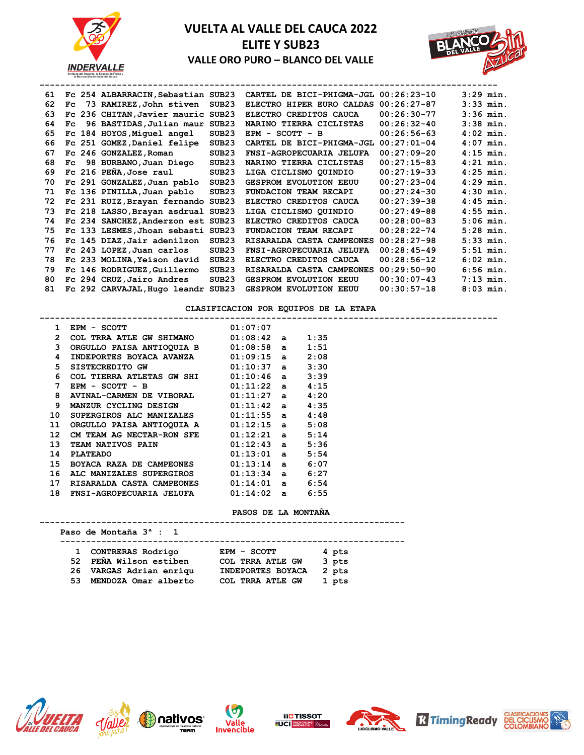



| 61 |              | Fc 254 ALBARRACIN, Sebastian SUB23 |                   | CARTEL DE BICI-PHIGMA-JGL 00:26:23-10 |               | $3:29$ min. |
|----|--------------|------------------------------------|-------------------|---------------------------------------|---------------|-------------|
| 62 | Fc.          | 73 RAMIREZ, John stiven            | SUB <sub>23</sub> | ELECTRO HIPER EURO CALDAS             | $00:26:27-87$ | $3:33$ min. |
| 63 |              | Fc 236 CHITAN, Javier mauric SUB23 |                   | ELECTRO CREDITOS CAUCA                | $00:26:30-77$ | $3:36$ min. |
| 64 | $_{\rm{Fc}}$ | 96 BASTIDAS, Julian maur SUB23     |                   | NARINO TIERRA CICLISTAS               | $00:26:32-40$ | $3:38$ min. |
| 65 |              | Fc 184 HOYOS, Miquel angel         | SUB <sub>23</sub> | $EPM - SCOTT - B$                     | $00:26:56-63$ | $4:02$ min. |
| 66 |              | Fc 251 GOMEZ, Daniel felipe        | SUB <sub>23</sub> | CARTEL DE BICI-PHIGMA-JGL 00:27:01-04 |               | $4:07$ min. |
| 67 |              | Fc 246 GONZALEZ, Roman             | SUB <sub>23</sub> | FNSI-AGROPECUARIA JELUFA              | $00:27:09-20$ | $4:15$ min. |
| 68 |              | Fc 98 BURBANO, Juan Diego          | SUB <sub>23</sub> | NARINO TIERRA CICLISTAS               | $00:27:15-83$ | $4:21$ min. |
| 69 |              | Fc 216 PEÑA, Jose raul             | SUB <sub>23</sub> | LIGA CICLISMO OUINDIO                 | $00:27:19-33$ | $4:25$ min. |
| 70 |              | Fc 291 GONZALEZ, Juan pablo        | SUB <sub>23</sub> | <b>GESPROM EVOLUTION EEUU</b>         | $00:27:23-04$ | $4:29$ min. |
| 71 |              | Fc 136 PINILLA, Juan pablo         | SUB <sub>23</sub> | FUNDACION TEAM RECAPI                 | $00:27:24-30$ | $4:30$ min. |
| 72 |              | Fc 231 RUIZ, Brayan fernando SUB23 |                   | ELECTRO CREDITOS CAUCA                | $00:27:39-38$ | $4:45$ min. |
| 73 |              | Fc 218 LASSO, Brayan asdrual SUB23 |                   | LIGA CICLISMO QUINDIO                 | $00:27:49-88$ | $4:55$ min. |
| 74 |              | Fc 234 SANCHEZ, Anderzon est SUB23 |                   | ELECTRO CREDITOS CAUCA                | $00:28:00-83$ | $5:06$ min. |
| 75 |              | Fc 133 LESMES, Jhoan sebasti SUB23 |                   | FUNDACION TEAM RECAPI                 | $00:28:22-74$ | $5:28$ min. |
| 76 |              | Fc 145 DIAZ, Jair adenilzon        | SUB <sub>23</sub> | RISARALDA CASTA CAMPEONES             | $00:28:27-98$ | $5:33$ min. |
| 77 |              | Fc 243 LOPEZ, Juan carlos          | SUB <sub>23</sub> | FNSI-AGROPECUARIA JELUFA              | $00:28:45-49$ | $5:51$ min. |
| 78 |              | Fc 233 MOLINA, Yeison david        | SUB <sub>23</sub> | ELECTRO CREDITOS CAUCA                | $00:28:56-12$ | $6:02$ min. |
| 79 |              | Fc 146 RODRIGUEZ, Guillermo        | SUB23             | RISARALDA CASTA CAMPEONES             | $00:29:50-90$ | $6:56$ min. |
| 80 |              | Fc 294 CRUZ, Jairo Andres          | SUB <sub>23</sub> | <b>GESPROM EVOLUTION EEUU</b>         | $00:30:07-43$ | $7:13$ min. |
| 81 |              | Fc 292 CARVAJAL, Hugo leandr SUB23 |                   | <b>GESPROM EVOLUTION EEUU</b>         | $00:30:57-18$ | $8:03$ min. |

### **CLASIFICACION POR EQUIPOS DE LA ETAPA**

|                  | EPM - SCOTT                             | 01:07:07     |      |  |  |
|------------------|-----------------------------------------|--------------|------|--|--|
| $\overline{2}$   | COL TRRA ATLE GW SHIMANO $01:08:42$ a   |              | 1:35 |  |  |
| 3                | ORGULLO PAISA ANTIOQUIA B 01:08:58 a    |              | 1:51 |  |  |
| 4                | INDEPORTES BOYACA AVANZA 01:09:15 a     |              | 2:08 |  |  |
| 5                | SISTECREDITO GW                         | $01:10:37$ a | 3:30 |  |  |
| 6                | COL TIERRA ATLETAS GW SHI $01:10:46$ a  |              | 3:39 |  |  |
| 7                | $EPM - SCOTT - B$                       | $01:11:22$ a | 4:15 |  |  |
| 8                | $AVINAL-CARMEN DE VIBORAL$ $01:11:27$ a |              | 4:20 |  |  |
| 9                | MANZUR CYCLING DESIGN 01:11:42 a        |              | 4:35 |  |  |
| 10               | SUPERGIROS ALC MANIZALES 01:11:55 a     |              | 4:48 |  |  |
| 11               | ORGULLO PAISA ANTIOQUIA A 01:12:15 a    |              | 5:08 |  |  |
| 12 <sup>12</sup> | CM TEAM AG NECTAR-RON SFE $01:12:21$ a  |              | 5:14 |  |  |
| 13               | TEAM NATIVOS PAIN 61:12:43 a            |              | 5:36 |  |  |
| 14               | <b>PLATEADO</b>                         | $01:13:01$ a | 5:54 |  |  |
| 15               | BOYACA RAZA DE CAMPEONES 01:13:14 a     |              | 6:07 |  |  |
| 16               | ALC MANIZALES SUPERGIROS 01:13:34 a     |              | 6:27 |  |  |
| 17               | RISARALDA CASTA CAMPEONES               | $01:14:01$ a | 6:54 |  |  |
| 18               | FNSI-AGROPECUARIA JELUFA 01:14:02 a     |              | 6:55 |  |  |
|                  |                                         |              |      |  |  |

#### **PASOS DE LA MONTAÑA**

**-----------------------------------------------------------------------**

 **Paso de Montaña 3ª : 1**

 **-------------------------------------------------------------------**

| 1 CONTRERAS Rodrigo     | EPM - SCOTT       | 4 pts |
|-------------------------|-------------------|-------|
| 52 PEÑA Wilson estiben  | COL TRRA ATLE GW  | 3 pts |
| 26 VARGAS Adrian enriqu | INDEPORTES BOYACA | 2 pts |
| 53 MENDOZA Omar alberto | COL TRRA ATLE GW  | 1 pts |













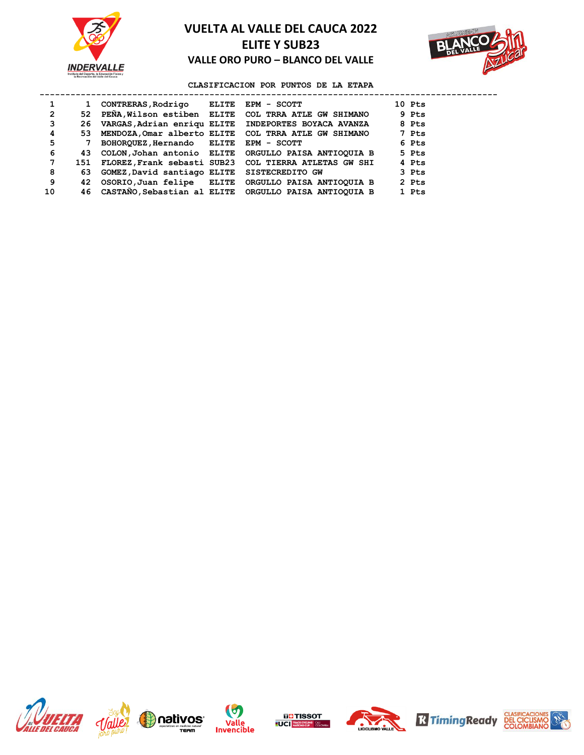



### **CLASIFICACION POR PUNTOS DE LA ETAPA**

|                | 1   | CONTRERAS, Rodrigo ELITE EPM - SCOTT        |                                                          | 10 Pts |
|----------------|-----|---------------------------------------------|----------------------------------------------------------|--------|
| $\overline{2}$ | 52. |                                             | PEÑA, Wilson estiben ELITE COL TRRA ATLE GW SHIMANO      | 9 Pts  |
| 3              | 26  |                                             | VARGAS, Adrian enriqu ELITE INDEPORTES BOYACA AVANZA     | 8 Pts  |
| 4              | 53. |                                             | MENDOZA, Omar alberto ELITE COL TRRA ATLE GW SHIMANO     | 7 Pts  |
| 5              |     | BOHORQUEZ, Hernando ELITE EPM - SCOTT       |                                                          | 6 Pts  |
| 6              | 43. |                                             | COLON, Johan antonio ELITE ORGULLO PAISA ANTIOQUIA B     | 5 Pts  |
| 7              | 151 |                                             | FLOREZ, Frank sebasti SUB23 COL TIERRA ATLETAS GW SHI    | 4 Pts  |
| 8              | 63  | GOMEZ, David santiago ELITE SISTECREDITO GW |                                                          | 3 Pts  |
| 9              | 42  |                                             | OSORIO, Juan felipe ELITE ORGULLO PAISA ANTIOQUIA B      | 2 Pts  |
| 10             |     |                                             | 46 CASTANO, Sebastian al ELITE ORGULLO PAISA ANTIOQUIA B | 1 Pts  |













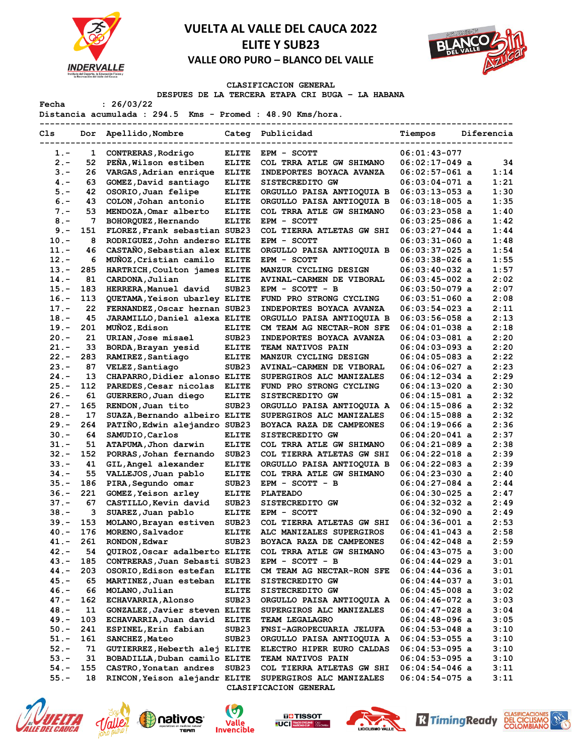



### **CLASIFICACION GENERAL**

**DESPUES DE LA TERCERA ETAPA CRI BUGA – LA HABANA** 

**Fecha : 26/03/22 Distancia acumulada : 294.5 Kms - Promed : 48.90 Kms/hora.**

| Cls     |     | Dor Apellido, Nombre          |                   | Categ Publicidad                 | Tiempos          | Diferencia |
|---------|-----|-------------------------------|-------------------|----------------------------------|------------------|------------|
| $1. -$  | 1   | CONTRERAS, Rodrigo            | <b>ELITE</b>      | EPM - SCOTT                      | $06:01:43-077$   |            |
| $2 -$   | 52  | PEÑA, Wilson estiben          | <b>ELITE</b>      | COL TRRA ATLE GW SHIMANO         | $06:02:17-049$ a | 34         |
| $3 -$   | 26  | VARGAS, Adrian enrique        | <b>ELITE</b>      | INDEPORTES BOYACA AVANZA         | $06:02:57-061$ a | 1:14       |
| $4 -$   | 63  | GOMEZ, David santiago         | <b>ELITE</b>      | SISTECREDITO GW                  | $06:03:04-071$ a | 1:21       |
| $5. -$  | 42  | OSORIO, Juan felipe           | <b>ELITE</b>      | ORGULLO PAISA ANTIOQUIA B        | $06:03:13-053$ a | 1:30       |
| $6. -$  | 43  | COLON, Johan antonio          | <b>ELITE</b>      | ORGULLO PAISA ANTIOQUIA B        | $06:03:18-005$ a | 1:35       |
| $7 -$   | 53  | MENDOZA, Omar alberto         | <b>ELITE</b>      | COL TRRA ATLE GW SHIMANO         | 06:03:23-058 a   | 1:40       |
| $8 -$   | 7   | BOHORQUEZ, Hernando           | <b>ELITE</b>      | EPM - SCOTT                      | $06:03:25-086$ a | 1:42       |
| $9 -$   | 151 | FLOREZ, Frank sebastian SUB23 |                   | COL TIERRA ATLETAS GW SHI        | $06:03:27-044$ a | 1:44       |
| $10. -$ | 8   | RODRIGUEZ, John anderso ELITE |                   | EPM - SCOTT                      | $06:03:31-060$ a | 1:48       |
| $11. -$ | 46  | CASTAÑO, Sebastian alex ELITE |                   | ORGULLO PAISA ANTIOQUIA B        | $06:03:37-025$ a | 1:54       |
| $12 -$  | 6   | MUÑOZ, Cristian camilo        | <b>ELITE</b>      | EPM - SCOTT                      | 06:03:38-026 a   | 1:55       |
| $13 -$  | 285 | HARTRICH, Coulton james ELITE |                   | MANZUR CYCLING DESIGN            | $06:03:40-032$ a | 1:57       |
| $14. -$ | 81  | CARDONA, Julian               | <b>ELITE</b>      | AVINAL-CARMEN DE VIBORAL         | $06:03:45-002$ a | 2:02       |
| $15. -$ | 183 | HERRERA, Manuel david         | SUB <sub>23</sub> | EPM - SCOTT - B                  | 06:03:50-079 a   | 2:07       |
| $16. -$ | 113 | QUETAMA, Yeison ubarley ELITE |                   | FUND PRO STRONG CYCLING          | $06:03:51-060$ a | 2:08       |
| $17. -$ | 22  | FERNANDEZ, Oscar hernan SUB23 |                   | INDEPORTES BOYACA AVANZA         | $06:03:54-023$ a | 2:11       |
| $18. -$ | 45  | JARAMILLO, Daniel alexa ELITE |                   | ORGULLO PAISA ANTIOQUIA B        | $06:03:56-058$ a | 2:13       |
| $19. -$ | 201 | MUÑOZ, Edison                 | <b>ELITE</b>      | CM TEAM AG NECTAR-RON SFE        | $06:04:01-038$ a | 2:18       |
| $20 -$  | 21  | URIAN, Jose misael            | SUB <sub>23</sub> | INDEPORTES BOYACA AVANZA         | 06:04:03-081 a   | 2:20       |
| $21 -$  | 33  | BORDA, Brayan yesid           | <b>ELITE</b>      | <b>TEAM NATIVOS PAIN</b>         | 06:04:03-093 a   | 2:20       |
|         |     |                               |                   |                                  |                  | 2:22       |
| $22 -$  | 283 | RAMIREZ, Santiago             | <b>ELITE</b>      | MANZUR CYCLING DESIGN            | 06:04:05-083 a   | 2:23       |
| $23 -$  | 87  | VELEZ, Santiago               | SUB <sub>23</sub> | AVINAL-CARMEN DE VIBORAL         | $06:04:06-027$ a |            |
| $24. -$ | 13  | CHAPARRO, Didier alonso ELITE |                   | SUPERGIROS ALC MANIZALES         | $06:04:12-034$ a | 2:29       |
| $25. -$ | 112 | PAREDES, Cesar nicolas        | <b>ELITE</b>      | FUND PRO STRONG CYCLING          | $06:04:13-020$ a | 2:30       |
| $26. -$ | 61  | GUERRERO, Juan diego          | <b>ELITE</b>      | SISTECREDITO GW                  | $06:04:15-081$ a | 2:32       |
| $27 -$  | 165 | RENDON, Juan tito             | SUB <sub>23</sub> | ORGULLO PAISA ANTIOQUIA A        | $06:04:15-086$ a | 2:32       |
| $28 -$  | 17  | SUAZA, Bernando albeiro ELITE |                   | SUPERGIROS ALC MANIZALES         | $06:04:15-088$ a | 2:32       |
| $29. -$ | 264 | PATIÑO, Edwin alejandro SUB23 |                   | BOYACA RAZA DE CAMPEONES         | 06:04:19-066 a   | 2:36       |
| $30 -$  | 64  | SAMUDIO, Carlos               | <b>ELITE</b>      | SISTECREDITO GW                  | $06:04:20-041$ a | 2:37       |
| $31 -$  | 51  | ATAPUMA, Jhon darwin          | <b>ELITE</b>      | COL TRRA ATLE GW SHIMANO         | $06:04:21-089$ a | 2:38       |
| $32 -$  | 152 | PORRAS, Johan fernando        | SUB <sub>23</sub> | COL TIERRA ATLETAS GW SHI        | $06:04:22-018$ a | 2:39       |
| $33 -$  | 41  | GIL, Angel alexander          | <b>ELITE</b>      | ORGULLO PAISA ANTIOQUIA B        | $06:04:22-083$ a | 2:39       |
| $34. -$ | 55  | VALLEJOS, Juan pablo          | <b>ELITE</b>      | COL TRRA ATLE GW SHIMANO         | 06:04:23-030 a   | 2:40       |
| $35. -$ | 186 | PIRA, Segundo omar            | SUB <sub>23</sub> | EPM - SCOTT - B                  | $06:04:27-084$ a | 2:44       |
| $36. -$ | 221 | GOMEZ, Yeison arley           | <b>ELITE</b>      | <b>PLATEADO</b>                  | $06:04:30-025$ a | 2:47       |
| $37 -$  | 67  | CASTILLO, Kevin david         | SUB <sub>23</sub> | SISTECREDITO GW                  | $06:04:32-032$ a | 2:49       |
| $38. -$ | 3   | SUAREZ, Juan pablo            | <b>ELITE</b>      | EPM - SCOTT                      | $06:04:32-090$ a | 2:49       |
| $39. -$ | 153 | MOLANO, Brayan estiven        | SUB23             | COL TIERRA ATLETAS GW SHI        | $06:04:36-001$ a | 2:53       |
| $40 -$  | 176 | MORENO, Salvador              | <b>ELITE</b>      | ALC MANIZALES SUPERGIROS         | $06:04:41-043$ a | 2:58       |
| $41. -$ | 261 | RONDON, Edwar                 | SUB <sub>23</sub> | BOYACA RAZA DE CAMPEONES         | 06:04:42-048 a   | 2:59       |
| $42 -$  | 54  | QUIROZ, Oscar adalberto ELITE |                   | COL TRRA ATLE GW SHIMANO         | $06:04:43-075$ a | 3:00       |
| 43.-    | 185 | CONTRERAS, Juan Sebasti SUB23 |                   | EPM - SCOTT - B                  | $06:04:44-029$ a | 3:01       |
| $44. -$ | 203 | OSORIO, Edison estefan ELITE  |                   | CM TEAM AG NECTAR-RON SFE        | $06:04:44-036$ a | 3:01       |
| 45.-    | 65  | MARTINEZ, Juan esteban        | <b>ELITE</b>      | SISTECREDITO GW                  | 06:04:44-037 a   | 3:01       |
| 46.-    | 66  | MOLANO, Julian                | <b>ELITE</b>      | SISTECREDITO GW                  | $06:04:45-008$ a | 3:02       |
| 47.-    | 162 | <b>ECHAVARRIA, Alonso</b>     | SUB <sub>23</sub> | ORGULLO PAISA ANTIOQUIA A        | $06:04:46-072$ a | 3:03       |
| $48. -$ | 11  | GONZALEZ, Javier steven ELITE |                   | SUPERGIROS ALC MANIZALES         | $06:04:47-028$ a | 3:04       |
| 49.-    | 103 | ECHAVARRIA, Juan david        | <b>ELITE</b>      | TEAM LEGALAGRO                   | $06:04:48-096$ a | 3:05       |
| $50.-$  | 241 | ESPINEL, Erin fabian          | SUB <sub>23</sub> | FNSI-AGROPECUARIA JELUFA         | $06:04:53-048$ a | 3:10       |
| $51. -$ | 161 | SANCHEZ, Mateo                | SUB <sub>23</sub> | ORGULLO PAISA ANTIOQUIA A        | $06:04:53-055$ a | 3:10       |
| $52 -$  | 71  | GUTIERREZ, Heberth alej ELITE |                   | <b>ELECTRO HIPER EURO CALDAS</b> | $06:04:53-095$ a | 3:10       |
| $53.-$  | 31  | BOBADILLA, Duban camilo ELITE |                   | <b>TEAM NATIVOS PAIN</b>         | $06:04:53-095$ a | 3:10       |
| 54.-    | 155 | CASTRO, Yonatan andres        | SUB <sub>23</sub> | COL TIERRA ATLETAS GW SHI        | $06:04:54-046$ a | 3:11       |
| $55. -$ | 18  | RINCON, Yeison alejandr ELITE |                   | SUPERGIROS ALC MANIZALES         | $06:04:54-075$ a | 3:11       |
|         |     |                               |                   | CLASIFICACION GENERAL            |                  |            |













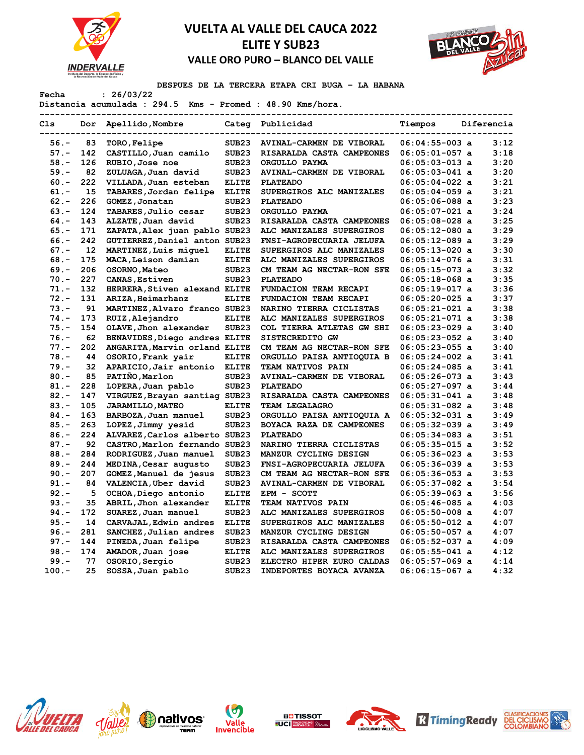



**DESPUES DE LA TERCERA ETAPA CRI BUGA – LA HABANA** 

**Fecha : 26/03/22**

**Distancia acumulada : 294.5 Kms - Promed : 48.90 Kms/hora.**

| Cls              |           | Dor Apellido, Nombre                                     |                                        | Categ Publicidad                             | Tiempos                              | Diferencia |              |
|------------------|-----------|----------------------------------------------------------|----------------------------------------|----------------------------------------------|--------------------------------------|------------|--------------|
| $56. -$          | 83        | TORO, Felipe                                             | SUB <sub>23</sub>                      | <b>AVINAL-CARMEN DE VIBORAL</b>              | $06:04:55-003$ a                     |            | 3:12         |
| $57. -$          | 142       | CASTILLO, Juan camilo                                    | SUB <sub>23</sub>                      | RISARALDA CASTA CAMPEONES                    | $06:05:01-057$ a                     |            | 3:18         |
| $58. -$          | 126       | RUBIO, Jose noe                                          | SUB <sub>23</sub>                      | ORGULLO PAYMA                                | $06:05:03-013$ a                     |            | 3:20         |
| $59. -$          | 82        | ZULUAGA, Juan david                                      | SUB <sub>23</sub>                      | AVINAL-CARMEN DE VIBORAL                     | $06:05:03-041$ a                     |            | 3:20         |
| $60 -$           | 222       | VILLADA, Juan esteban                                    | <b>ELITE</b>                           | <b>PLATEADO</b>                              | $06:05:04-022$ a                     |            | 3:21         |
| $61. -$          | 15        | TABARES, Jordan felipe                                   | <b>ELITE</b>                           | SUPERGIROS ALC MANIZALES                     | $06:05:04-059$ a                     |            | 3:21         |
| $62 -$           | 226       | GOMEZ, Jonatan                                           | SUB <sub>23</sub>                      | <b>PLATEADO</b>                              | $06:05:06-088$ a                     |            | 3:23         |
| $63 -$           | 124       | TABARES, Julio cesar                                     | SUB <sub>23</sub>                      | ORGULLO PAYMA                                | $06:05:07-021$ a                     |            | 3:24         |
| $64. -$          | 143       | ALZATE, Juan david                                       | SUB <sub>23</sub>                      | RISARALDA CASTA CAMPEONES                    | $06:05:08-028$ a                     |            | 3:25         |
| $65. -$          | 171       | ZAPATA, Alex juan pablo SUB23                            |                                        | ALC MANIZALES SUPERGIROS                     | $06:05:12-080$ a                     |            | 3:29         |
| $66. -$          | 242       | GUTIERREZ, Daniel anton SUB23                            |                                        | FNSI-AGROPECUARIA JELUFA                     | $06:05:12-089$ a                     |            | 3:29         |
| $67. -$          | 12        | MARTINEZ, Luis miquel                                    | <b>ELITE</b>                           | SUPERGIROS ALC MANIZALES                     | $06:05:13-020$ a                     |            | 3:30         |
| $68 -$           | 175       | MACA, Leison damian                                      | <b>ELITE</b>                           | ALC MANIZALES SUPERGIROS                     | $06:05:14-076$ a                     |            | 3:31         |
| $69. -$          | 206       | OSORNO, Mateo                                            | SUB <sub>23</sub>                      | CM TEAM AG NECTAR-RON SFE                    | $06:05:15-073$ a                     |            | 3:32         |
| $70. -$          | 227       | CANAS, Estiven                                           | SUB <sub>23</sub>                      | <b>PLATEADO</b>                              | $06:05:18-068$ a                     |            | 3:35         |
| $71. -$          | 132       | HERRERA, Stiven alexand ELITE                            |                                        | FUNDACION TEAM RECAPI                        | $06:05:19-017$ a                     |            | 3:36         |
| $72 -$           | 131       | ARIZA, Heimarhanz                                        | <b>ELITE</b>                           | FUNDACION TEAM RECAPI                        | $06:05:20-025$ a                     |            | 3:37         |
| $73. -$          | 91        | MARTINEZ, Alvaro franco SUB23                            |                                        | NARINO TIERRA CICLISTAS                      | $06:05:21-021$ a                     |            | 3:38         |
| $74. -$          | 173       | RUIZ, Alejandro                                          | <b>ELITE</b>                           | ALC MANIZALES SUPERGIROS                     | $06:05:21-071$ a                     |            | 3:38         |
| $75. -$          | 154       | OLAVE, Jhon alexander                                    | SUB <sub>23</sub>                      | COL TIERRA ATLETAS GW SHI                    | $06:05:23-029$ a                     |            | 3:40         |
| $76. -$          | 62        | BENAVIDES, Diego andres ELITE                            |                                        | SISTECREDITO GW                              | $06:05:23-052$ a                     |            | 3:40         |
| $77. -$          | 202       | ANGARITA, Marvin orland ELITE                            |                                        | CM TEAM AG NECTAR-RON SFE                    | $06:05:23-055$ a                     |            | 3:40         |
| $78. -$          | 44        | OSORIO, Frank yair                                       | <b>ELITE</b>                           | ORGULLO PAISA ANTIOQUIA B                    | $06:05:24-002$ a                     |            | 3:41         |
| $79. -$          | 32        | APARICIO, Jair antonio                                   | <b>ELITE</b>                           | TEAM NATIVOS PAIN                            | $06:05:24-085$ a                     |            | 3:41         |
| $80 -$           | 85<br>228 | PATINO, Marlon                                           | SUB <sub>23</sub><br>SUB <sub>23</sub> | AVINAL-CARMEN DE VIBORAL                     | $06:05:26-073$ a                     |            | 3:43<br>3:44 |
| $81 -$<br>$82 -$ | 147       | LOPERA, Juan pablo                                       |                                        | <b>PLATEADO</b><br>RISARALDA CASTA CAMPEONES | $06:05:27-097$ a<br>$06:05:31-041$ a |            | 3:48         |
| $83 -$           | 105       | VIRGUEZ, Brayan santiag SUB23<br><b>JARAMILLO, MATEO</b> | <b>ELITE</b>                           | TEAM LEGALAGRO                               | $06:05:31-082$ a                     |            | 3:48         |
| $84. -$          | 163       | BARBOZA, Juan manuel                                     | SUB <sub>23</sub>                      | ORGULLO PAISA ANTIOQUIA A                    | $06:05:32-031$ a                     |            | 3:49         |
| $85. -$          | 263       | LOPEZ, Jimmy yesid                                       | SUB <sub>23</sub>                      | BOYACA RAZA DE CAMPEONES                     | $06:05:32-039$ a                     |            | 3:49         |
| $86. -$          | 224       | ALVAREZ, Carlos alberto SUB23                            |                                        | <b>PLATEADO</b>                              | $06:05:34-083$ a                     |            | 3:51         |
| $87. -$          | 92        | CASTRO, Marlon fernando SUB23                            |                                        | NARINO TIERRA CICLISTAS                      | $06:05:35-015$ a                     |            | 3:52         |
| $88. -$          | 284       | RODRIGUEZ, Juan manuel                                   | SUB <sub>23</sub>                      | MANZUR CYCLING DESIGN                        | $06:05:36-023$ a                     |            | 3:53         |
| $89. -$          | 244       | MEDINA, Cesar augusto                                    | SUB <sub>23</sub>                      | FNSI-AGROPECUARIA JELUFA                     | $06:05:36-039$ a                     |            | 3:53         |
| $90 -$           | 207       | GOMEZ, Manuel de jesus                                   | SUB <sub>23</sub>                      | CM TEAM AG NECTAR-RON SFE                    | $06:05:36-053$ a                     |            | 3:53         |
| $91 -$           | 84        | VALENCIA, Uber david                                     | SUB <sub>23</sub>                      | AVINAL-CARMEN DE VIBORAL                     | $06:05:37-082$ a                     |            | 3:54         |
| $92 -$           | 5         | OCHOA, Diego antonio                                     | <b>ELITE</b>                           | EPM - SCOTT                                  | $06:05:39-063$ a                     |            | 3:56         |
| $93 -$           | 35        | ABRIL, Jhon alexander                                    | <b>ELITE</b>                           | TEAM NATIVOS PAIN                            | $06:05:46-085$ a                     |            | 4:03         |
| $94. -$          | 172       | SUAREZ, Juan manuel                                      | SUB <sub>23</sub>                      | ALC MANIZALES SUPERGIROS                     | $06:05:50-008$ a                     |            | 4:07         |
| $95. -$          | 14        | CARVAJAL, Edwin andres                                   | <b>ELITE</b>                           | SUPERGIROS ALC MANIZALES                     | $06:05:50-012$ a                     |            | 4:07         |
| $96. -$          | 281       | SANCHEZ, Julian andres                                   | SUB <sub>23</sub>                      | MANZUR CYCLING DESIGN                        | $06:05:50-057$ a                     |            | 4:07         |
| $97. -$          | 144       | PINEDA, Juan felipe                                      | SUB <sub>23</sub>                      | RISARALDA CASTA CAMPEONES                    | $06:05:52-037$ a                     |            | 4:09         |
| $98. -$          | 174       | AMADOR, Juan jose                                        | <b>ELITE</b>                           | ALC MANIZALES SUPERGIROS                     | $06:05:55-041$ a                     |            | 4:12         |
| $99. -$          | 77        | OSORIO, Sergio                                           | SUB <sub>23</sub>                      | ELECTRO HIPER EURO CALDAS                    | $06:05:57-069$ a                     |            | 4:14         |
| $100 -$          | 25        | SOSSA, Juan pablo                                        | SUB <sub>23</sub>                      | INDEPORTES BOYACA AVANZA                     | $06:06:15-067$ a                     |            | 4:32         |













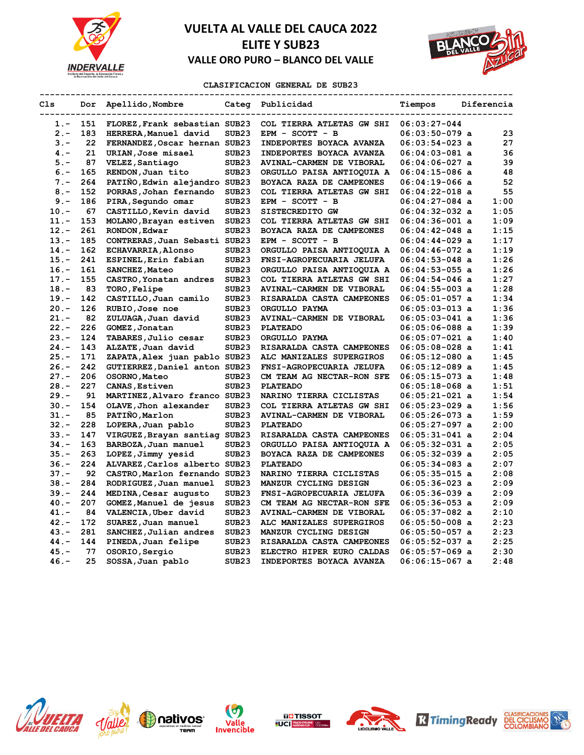



### **CLASIFICACION GENERAL DE SUB23**

**--------------------------------------------------------------------------------------------**

| Cls     | Dor | Apellido, Nombre<br>--------- | Categ             | Publicidad                      | Tiempos          | Diferencia |
|---------|-----|-------------------------------|-------------------|---------------------------------|------------------|------------|
| 1.-     | 151 | FLOREZ, Frank sebastian SUB23 |                   | COL TIERRA ATLETAS GW SHI       | $06:03:27-044$   |            |
| $2 -$   | 183 | HERRERA, Manuel david         | SUB23             | EPM - SCOTT - B                 | $06:03:50-079$ a | 23         |
| $3 -$   | 22  | FERNANDEZ, Oscar hernan SUB23 |                   | INDEPORTES BOYACA AVANZA        | $06:03:54-023$ a | 27         |
| $4 -$   | 21  | URIAN, Jose misael            | SUB23             | INDEPORTES BOYACA AVANZA        | $06:04:03-081$ a | 36         |
| $5. -$  | 87  | VELEZ, Santiago               | SUB <sub>23</sub> | <b>AVINAL-CARMEN DE VIBORAL</b> | $06:04:06-027$ a | 39         |
| $6 -$   | 165 | RENDON, Juan tito             | SUB <sub>23</sub> | ORGULLO PAISA ANTIOQUIA A       | $06:04:15-086$ a | 48         |
| $7 -$   | 264 | PATIÑO, Edwin alejandro SUB23 |                   | <b>BOYACA RAZA DE CAMPEONES</b> | $06:04:19-066$ a | 52         |
| $8. -$  | 152 | PORRAS, Johan fernando        | SUB <sub>23</sub> | COL TIERRA ATLETAS GW SHI       | $06:04:22-018$ a | 55         |
| $9 -$   | 186 | PIRA, Segundo omar            | SUB <sub>23</sub> | EPM - SCOTT - B                 | 06:04:27-084 a   | 1:00       |
| $10. -$ | 67  | CASTILLO, Kevin david         | SUB <sub>23</sub> | SISTECREDITO GW                 | $06:04:32-032$ a | 1:05       |
| $11. -$ | 153 | MOLANO, Brayan estiven        | SUB <sub>23</sub> | COL TIERRA ATLETAS GW SHI       | $06:04:36-001$ a | 1:09       |
| $12 -$  | 261 | RONDON, Edwar                 | SUB <sub>23</sub> | <b>BOYACA RAZA DE CAMPEONES</b> | 06:04:42-048 a   | 1:15       |
| $13 -$  | 185 | CONTRERAS, Juan Sebasti SUB23 |                   | EPM - SCOTT - B                 | 06:04:44-029 a   | 1:17       |
| $14. -$ | 162 | <b>ECHAVARRIA, Alonso</b>     | SUB <sub>23</sub> | ORGULLO PAISA ANTIOQUIA A       | $06:04:46-072$ a | 1:19       |
| $15. -$ | 241 | ESPINEL, Erin fabian          | SUB <sub>23</sub> | FNSI-AGROPECUARIA JELUFA        | $06:04:53-048$ a | 1:26       |
| $16. -$ | 161 | <b>SANCHEZ, Mateo</b>         | SUB <sub>23</sub> | ORGULLO PAISA ANTIOQUIA A       | $06:04:53-055$ a | 1:26       |
| $17. -$ | 155 | CASTRO, Yonatan andres        | SUB <sub>23</sub> | COL TIERRA ATLETAS GW SHI       | $06:04:54-046$ a | 1:27       |
| $18. -$ | 83  | <b>TORO, Felipe</b>           | SUB <sub>23</sub> | AVINAL-CARMEN DE VIBORAL        | $06:04:55-003$ a | 1:28       |
| $19. -$ | 142 | CASTILLO, Juan camilo         | SUB <sub>23</sub> | RISARALDA CASTA CAMPEONES       | $06:05:01-057$ a | 1:34       |
| $20 -$  | 126 | RUBIO, Jose noe               | SUB23             | ORGULLO PAYMA                   | $06:05:03-013$ a | 1:36       |
| $21. -$ | 82  | ZULUAGA, Juan david           | SUB23             | <b>AVINAL-CARMEN DE VIBORAL</b> | $06:05:03-041$ a | 1:36       |
| $22 -$  | 226 | GOMEZ, Jonatan                | SUB <sub>23</sub> | <b>PLATEADO</b>                 | 06:05:06-088 a   | 1:39       |
| $23 -$  | 124 | TABARES, Julio cesar          | SUB <sub>23</sub> | ORGULLO PAYMA                   | $06:05:07-021$ a | 1:40       |
| $24. -$ | 143 | ALZATE, Juan david            | SUB23             | RISARALDA CASTA CAMPEONES       | $06:05:08-028$ a | 1:41       |
| $25. -$ | 171 | ZAPATA, Alex juan pablo SUB23 |                   | ALC MANIZALES SUPERGIROS        | $06:05:12-080$ a | 1:45       |
| $26. -$ | 242 | GUTIERREZ, Daniel anton SUB23 |                   | FNSI-AGROPECUARIA JELUFA        | 06:05:12-089 a   | 1:45       |
| $27. -$ | 206 | OSORNO, Mateo                 | SUB <sub>23</sub> | CM TEAM AG NECTAR-RON SFE       | $06:05:15-073$ a | 1:48       |
| $28. -$ | 227 | CANAS, Estiven                | SUB <sub>23</sub> | <b>PLATEADO</b>                 | 06:05:18-068 a   | 1:51       |
| $29. -$ | 91  | MARTINEZ, Alvaro franco SUB23 |                   | NARINO TIERRA CICLISTAS         | $06:05:21-021$ a | 1:54       |
| $30 -$  | 154 | OLAVE, Jhon alexander         | SUB <sub>23</sub> | COL TIERRA ATLETAS GW SHI       | 06:05:23-029 a   | 1:56       |
| $31 -$  | 85  | PATINO, Marlon                | SUB <sub>23</sub> | AVINAL-CARMEN DE VIBORAL        | $06:05:26-073$ a | 1:59       |
| $32 -$  | 228 | LOPERA, Juan pablo            | SUB <sub>23</sub> | <b>PLATEADO</b>                 | $06:05:27-097$ a | 2:00       |
| $33 -$  | 147 | VIRGUEZ, Brayan santiag SUB23 |                   | RISARALDA CASTA CAMPEONES       | $06:05:31-041$ a | 2:04       |
| $34. -$ | 163 | BARBOZA, Juan manuel          | SUB <sub>23</sub> | ORGULLO PAISA ANTIOQUIA A       | $06:05:32-031$ a | 2:05       |
| $35 -$  | 263 | LOPEZ, Jimmy yesid            | SUB <sub>23</sub> | BOYACA RAZA DE CAMPEONES        | 06:05:32-039 a   | 2:05       |
| $36. -$ | 224 | ALVAREZ, Carlos alberto SUB23 |                   | <b>PLATEADO</b>                 | $06:05:34-083$ a | 2:07       |
| $37 -$  | 92  | CASTRO, Marlon fernando SUB23 |                   | NARINO TIERRA CICLISTAS         | $06:05:35-015$ a | 2:08       |
| $38. -$ | 284 | RODRIGUEZ, Juan manuel        | SUB <sub>23</sub> | MANZUR CYCLING DESIGN           | $06:05:36-023$ a | 2:09       |
| $39. -$ | 244 | MEDINA, Cesar augusto         | SUB <sub>23</sub> | FNSI-AGROPECUARIA JELUFA        | $06:05:36-039$ a | 2:09       |
| $40 -$  | 207 | GOMEZ, Manuel de jesus        | SUB <sub>23</sub> | CM TEAM AG NECTAR-RON SFE       | $06:05:36-053$ a | 2:09       |
| $41. -$ | 84  | VALENCIA, Uber david          | SUB <sub>23</sub> | AVINAL-CARMEN DE VIBORAL        | $06:05:37-082$ a | 2:10       |
| $42 -$  | 172 | SUAREZ, Juan manuel           | SUB23             | ALC MANIZALES SUPERGIROS        | 06:05:50-008 a   | 2:23       |
| $43 -$  | 281 | SANCHEZ, Julian andres        | SUB23             | MANZUR CYCLING DESIGN           | $06:05:50-057$ a | 2:23       |
| $44. -$ | 144 | PINEDA, Juan felipe           | SUB <sub>23</sub> | RISARALDA CASTA CAMPEONES       | $06:05:52-037$ a | 2:25       |
| $45. -$ | 77  | OSORIO, Sergio                | SUB <sub>23</sub> | ELECTRO HIPER EURO CALDAS       | $06:05:57-069$ a | 2:30       |
| $46. -$ | 25  | SOSSA, Juan pablo             | SUB <sub>23</sub> | INDEPORTES BOYACA AVANZA        | 06:06:15-067 a   | 2:48       |













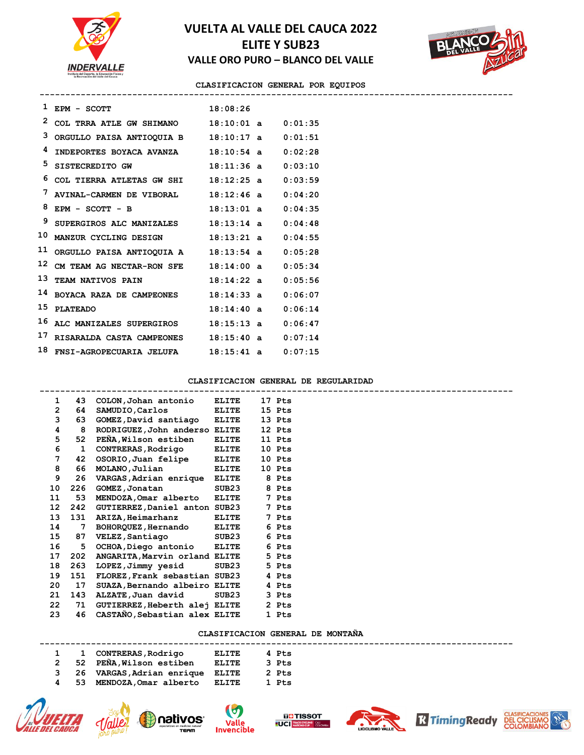



#### **CLASIFICACION GENERAL POR EQUIPOS --------------------------------------------------------------------------------------------**

| 1  | EPM - SCOTT               | 18:08:26     |                |         |
|----|---------------------------|--------------|----------------|---------|
| 2  | COL TRRA ATLE GW SHIMANO  | $18:10:01$ a |                | 0:01:35 |
| 3  | ORGULLO PAISA ANTIOQUIA B | $18:10:17$ a |                | 0:01:51 |
| 4  | INDEPORTES BOYACA AVANZA  | $18:10:54$ a |                | 0:02:28 |
| 5  | SISTECREDITO GW           | 18:11:36a    |                | 0:03:10 |
| 6  | COL TIERRA ATLETAS GW SHI | 18:12:25a    |                | 0:03:59 |
| 7  | AVINAL-CARMEN DE VIBORAL  | 18:12:46a    |                | 0:04:20 |
| 8  | $EPM - SCOTT - B$         | 18:13:01a    |                | 0:04:35 |
| 9  | SUPERGIROS ALC MANIZALES  | $18:13:14$ a |                | 0:04:48 |
| 10 | MANZUR CYCLING DESIGN     | 18:13:21a    |                | 0:04:55 |
| 11 | ORGULLO PAISA ANTIOQUIA A | $18:13:54$ a |                | 0:05:28 |
| 12 | CM TEAM AG NECTAR-RON SFE | 18:14:00     | $\overline{a}$ | 0:05:34 |
| 13 | TEAM NATIVOS PAIN         | 18:14:22a    |                | 0:05:56 |
| 14 | BOYACA RAZA DE CAMPEONES  | 18:14:33a    |                | 0:06:07 |
| 15 | <b>PLATEADO</b>           | 18:14:40a    |                | 0:06:14 |
| 16 | ALC MANIZALES SUPERGIROS  | $18:15:13$ a |                | 0:06:47 |
| 17 | RISARALDA CASTA CAMPEONES | 18:15:40a    |                | 0:07:14 |
| 18 | FNSI-AGROPECUARIA JELUFA  | $18:15:41$ a |                | 0:07:15 |

### **CLASIFICACION GENERAL DE REGULARIDAD**

| 1              | 43  | COLON, Johan antonio          | <b>ELITE</b> | 17 Pts |  |
|----------------|-----|-------------------------------|--------------|--------|--|
| $\overline{2}$ | 64  | SAMUDIO, Carlos               | <b>ELITE</b> | 15 Pts |  |
| 3              | 63  | GOMEZ, David santiago ELITE   |              | 13 Pts |  |
| 4              | 8   | RODRIGUEZ, John anderso ELITE |              | 12 Pts |  |
| 5              | 52  | PEÑA, Wilson estiben          | <b>ELITE</b> | 11 Pts |  |
| 6              | 1   | <b>CONTRERAS, Rodrigo</b>     | ELITE        | 10 Pts |  |
| 7              | 42  | OSORIO, Juan felipe           | <b>ELITE</b> | 10 Pts |  |
| 8              | 66  | MOLANO, Julian                | ELITE        | 10 Pts |  |
| 9              | 26  | VARGAS, Adrian enrique ELITE  |              | 8 Pts  |  |
| 10             | 226 | GOMEZ, Jonatan                | SUB23        | 8 Pts  |  |
| 11             | 53  | MENDOZA, Omar alberto         | <b>ELITE</b> | 7 Pts  |  |
| 12             | 242 | GUTIERREZ, Daniel anton SUB23 |              | 7 Pts  |  |
| 13             |     | 131 ARIZA, Heimarhanz         | <b>ELITE</b> | 7 Pts  |  |
| 14             | 7   | BOHORQUEZ, Hernando           | ELITE        | 6 Pts  |  |
| 15             | 87  | VELEZ, Santiago               | SUB23        | 6 Pts  |  |
| 16             | 5   | OCHOA, Diego antonio ELITE    |              | 6 Pts  |  |
| 17             | 202 | ANGARITA, Marvin orland ELITE |              | 5 Pts  |  |
| 18             | 263 | LOPEZ, Jimmy yesid            | SUB23        | 5 Pts  |  |
| 19             | 151 | FLOREZ, Frank sebastian SUB23 |              | 4 Pts  |  |
| 20             | 17  | SUAZA, Bernando albeiro ELITE |              | 4 Pts  |  |
| 21             | 143 | ALZATE, Juan david            | SUB23        | 3 Pts  |  |
| 22             | 71  | GUTIERREZ, Heberth alej ELITE |              | 2 Pts  |  |
| 23             | 46  | CASTAÑO, Sebastian alex ELITE |              | 1 Pts  |  |

### **CLASIFICACION GENERAL DE MONTAÑA**

|  | 1 1 CONTRERAS, Rodrigo            | ELITE | 4 Pts |
|--|-----------------------------------|-------|-------|
|  | 2 52 PEÑA, Wilson estiben         | ELITE | 3 Pts |
|  | 3 26 VARGAS, Adrian enrique ELITE |       | 2 Pts |
|  | 4 53 MENDOZA, Omar alberto        | ELITE | 1 Pts |













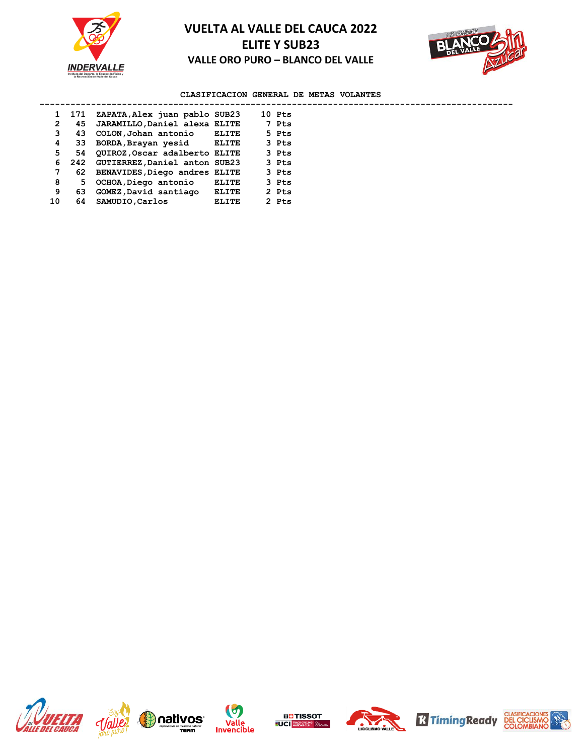



## **CLASIFICACION GENERAL DE METAS VOLANTES**

|    | 1 171 | ZAPATA, Alex juan pablo SUB23     |       | 10 Pts |  |
|----|-------|-----------------------------------|-------|--------|--|
| 2  | 45    | JARAMILLO, Daniel alexa ELITE     |       | 7 Pts  |  |
| 3  |       | 43 COLON, Johan antonio           | ELITE | 5 Pts  |  |
| 4  | 33.   | BORDA, Brayan yesid ELITE         |       | 3 Pts  |  |
| 5. |       | 54 QUIROZ, Oscar adalberto ELITE  |       | 3 Pts  |  |
|    | 6     | 242 GUTIERREZ, Daniel anton SUB23 |       | 3 Pts  |  |
| 7  |       | 62 BENAVIDES, Diego andres ELITE  |       | 3 Pts  |  |
| 8  | 5.    | OCHOA, Diego antonio              | ELITE | 3 Pts  |  |
| 9  | 63    | GOMEZ, David santiago             | ELITE | 2 Pts  |  |
| 10 | 64    | SAMUDIO, Carlos                   | ELITE | 2 Pts  |  |













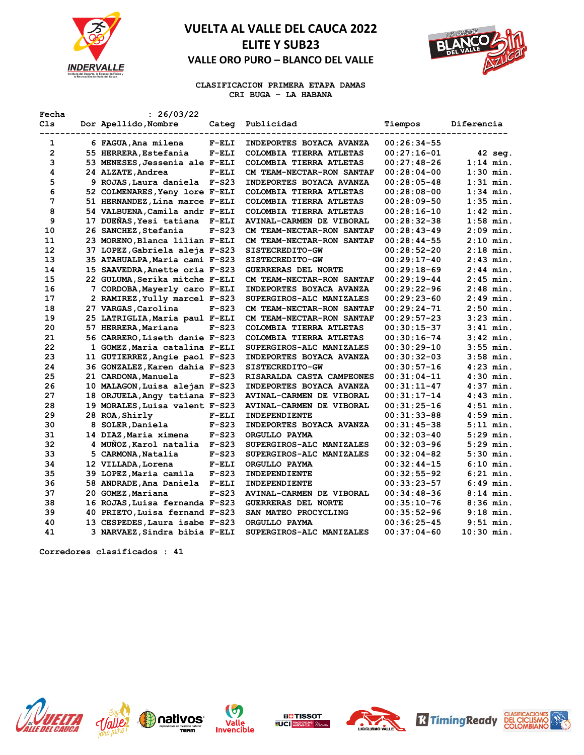



**CLASIFICACION PRIMERA ETAPA DAMAS CRI BUGA – LA HABANA** 

| Fecha          | : 26/03/22                     |         |                            |                 |              |
|----------------|--------------------------------|---------|----------------------------|-----------------|--------------|
| Cls            | Dor Apellido, Nombre           |         | Categ Publicidad           | Tiempos         | Diferencia   |
| 1              | 6 FAGUA, Ana milena            | $F-ELI$ | INDEPORTES BOYACA AVANZA   | $00:26:34-55$   |              |
| $\overline{2}$ | 55 HERRERA, Estefania          | $F-ELI$ | COLOMBIA TIERRA ATLETAS    | $00:27:16-01$   | 42 seg.      |
| 3              | 53 MENESES, Jessenia ale F-ELI |         | COLOMBIA TIERRA ATLETAS    | $00:27:48-26$   | $1:14$ min.  |
| 4              | 24 ALZATE, Andrea              | $F-ELI$ | CM TEAM-NECTAR-RON SANTAF  | $00:28:04-00$   | $1:30$ min.  |
| 5              | 9 ROJAS, Laura daniela F-S23   |         | INDEPORTES BOYACA AVANZA   | $00:28:05-48$   | $1:31$ min.  |
| 6              | 52 COLMENARES, Yeny lore F-ELI |         | COLOMBIA TIERRA ATLETAS    | $00:28:08-00$   | $1:34$ min.  |
| 7              | 51 HERNANDEZ, Lina marce F-ELI |         | COLOMBIA TIERRA ATLETAS    | $00:28:09-50$   | $1:35$ min.  |
| 8              | 54 VALBUENA, Camila andr F-ELI |         | COLOMBIA TIERRA ATLETAS    | $00:28:16-10$   | $1:42$ min.  |
| 9              | 17 DUEÑAS, Yesi tatiana F-ELI  |         | AVINAL-CARMEN DE VIBORAL   | $00:28:32-38$   | $1:58$ min.  |
| 10             | 26 SANCHEZ, Stefania           | $F-S23$ | CM TEAM-NECTAR-RON SANTAF  | $00:28:43-49$   | $2:09$ min.  |
| 11             | 23 MORENO, Blanca lilian F-ELI |         | CM TEAM-NECTAR-RON SANTAF  | $00:28:44-55$   | $2:10$ min.  |
| 12             | 37 LOPEZ, Gabriela aleja F-S23 |         | SISTECREDITO-GW            | 00:28:52-20     | $2:18$ min.  |
| 13             | 35 ATAHUALPA, Maria cami F-S23 |         | SISTECREDITO-GW            | $00:29:17-40$   | $2:43$ min.  |
| 14             | 15 SAAVEDRA, Anette oria F-S23 |         | <b>GUERRERAS DEL NORTE</b> | $00:29:18-69$   | $2:44$ min.  |
| 15             | 22 GULUMA, Serika mitche F-ELI |         | CM TEAM-NECTAR-RON SANTAF  | $00:29:19-44$   | $2:45$ min.  |
| 16             | 7 CORDOBA, Mayerly caro F-ELI  |         | INDEPORTES BOYACA AVANZA   | $00:29:22-96$   | $2:48$ min.  |
| 17             | 2 RAMIREZ, Yully marcel F-S23  |         | SUPERGIROS-ALC MANIZALES   | $00:29:23-60$   | 2:49 min.    |
| 18             | 27 VARGAS, Carolina            | $F-S23$ | CM TEAM-NECTAR-RON SANTAF  | $00:29:24-71$   | $2:50$ min.  |
| 19             | 25 LATRIGLIA, Maria paul F-ELI |         | CM TEAM-NECTAR-RON SANTAF  | 00:29:57-23     | $3:23$ min.  |
| 20             | 57 HERRERA, Mariana            | $F-S23$ | COLOMBIA TIERRA ATLETAS    | $00:30:15-37$   | $3:41$ min.  |
| 21             | 56 CARRERO, Liseth danie F-S23 |         | COLOMBIA TIERRA ATLETAS    | $00:30:16-74$   | $3:42$ min.  |
| 22             | 1 GOMEZ, Maria catalina F-ELI  |         | SUPERGIROS-ALC MANIZALES   | $00:30:29-10$   | $3:55$ min.  |
| 23             | 11 GUTIERREZ, Angie paol F-S23 |         | INDEPORTES BOYACA AVANZA   | $00:30:32-03$   | $3:58$ min.  |
| 24             | 36 GONZALEZ, Karen dahia F-S23 |         | SISTECREDITO-GW            | $00:30:57-16$   | $4:23$ min.  |
| 25             | 21 CARDONA, Manuela            | $F-S23$ | RISARALDA CASTA CAMPEONES  | $00:31:04-11$   | $4:30$ min.  |
| 26             | 10 MALAGON, Luisa alejan F-S23 |         | INDEPORTES BOYACA AVANZA   | $00:31:11-47$   | $4:37$ min.  |
| 27             | 18 ORJUELA, Angy tatiana F-S23 |         | AVINAL-CARMEN DE VIBORAL   | $00:31:17-14$   | $4:43$ min.  |
| 28             | 19 MORALES, Luisa valent F-S23 |         | AVINAL-CARMEN DE VIBORAL   | $00:31:25-16$   | $4:51$ min.  |
| 29             | 28 ROA, Shirly                 | $F-ELI$ | INDEPENDIENTE              | $00:31:33-88$   | $4:59$ min.  |
| 30             | 8 SOLER, Daniela               | $F-S23$ | INDEPORTES BOYACA AVANZA   | $00:31:45-38$   | $5:11$ min.  |
| 31             | 14 DIAZ, Maria ximena          | $F-S23$ | ORGULLO PAYMA              | $00:32:03-40$   | $5:29$ min.  |
| 32             | 4 MUNOZ, Karol natalia         | $F-S23$ | SUPERGIROS-ALC MANIZALES   | $00:32:03-96$   | $5:29$ min.  |
| 33             | 5 CARMONA, Natalia             | $F-S23$ | SUPERGIROS-ALC MANIZALES   | $00:32:04-82$   | $5:30$ min.  |
| 34             | 12 VILLADA, Lorena             | $F-ELI$ | ORGULLO PAYMA              | $00:32:44-15$   | $6:10$ min.  |
| 35             | 39 LOPEZ, Maria camila         | $F-S23$ | INDEPENDIENTE              | $00:32:55-92$   | $6:21$ min.  |
| 36             | 58 ANDRADE, Ana Daniela        | $F-ELI$ | INDEPENDIENTE              | $00:33:23-57$   | $6:49$ min.  |
| 37             | 20 GOMEZ, Mariana              | $F-S23$ | AVINAL-CARMEN DE VIBORAL   | $00:34:48-36$   | $8:14$ min.  |
| 38             | 16 ROJAS, Luisa fernanda F-S23 |         | <b>GUERRERAS DEL NORTE</b> | $00:35:10-76$   | $8:36$ min.  |
| 39             | 40 PRIETO, Luisa fernand F-S23 |         | SAN MATEO PROCYCLING       | $00:35:52-96$   | $9:18$ min.  |
| 40             | 13 CESPEDES, Laura isabe F-S23 |         | ORGULLO PAYMA              | $00:36:25 - 45$ | $9:51$ min.  |
| 41             | 3 NARVAEZ, Sindra bibia F-ELI  |         | SUPERGIROS-ALC MANIZALES   | $00:37:04-60$   | $10:30$ min. |
|                |                                |         |                            |                 |              |

**Corredores clasificados : 41**













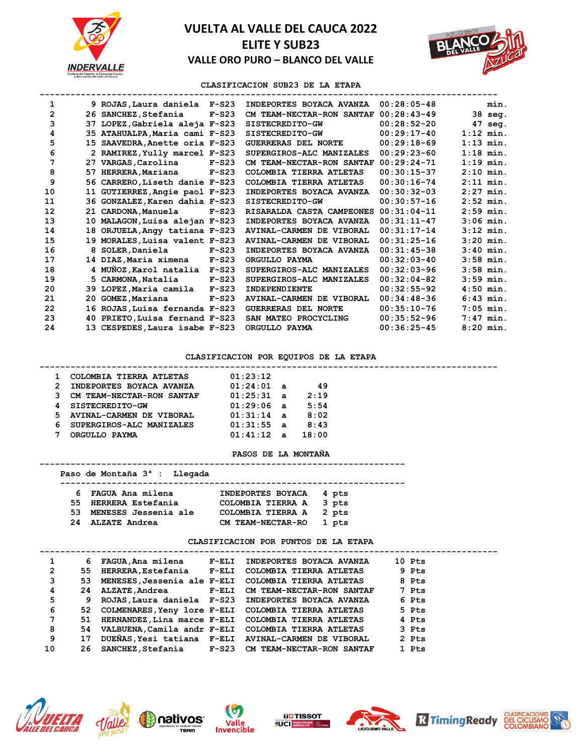



### **CLASIFICACION SUB23 DE LA ETAPA**

| 1              | 9 ROJAS, Laura daniela F-S23   |         | INDEPORTES BOYACA AVANZA   | $00:28:05-48$ |             | min.        |
|----------------|--------------------------------|---------|----------------------------|---------------|-------------|-------------|
| $\overline{2}$ | 26 SANCHEZ, Stefania           | $F-S23$ | CM TEAM-NECTAR-RON SANTAF  | $00:28:43-49$ |             | 38 seg.     |
| 3              | 37 LOPEZ, Gabriela aleja F-S23 |         | SISTECREDITO-GW            | $00:28:52-20$ |             | 47 seg.     |
| 4              | 35 ATAHUALPA, Maria cami F-S23 |         | SISTECREDITO-GW            | $00:29:17-40$ |             | $1:12$ min. |
| 5              | 15 SAAVEDRA, Anette oria F-S23 |         | <b>GUERRERAS DEL NORTE</b> | $00:29:18-69$ |             | $1:13$ min. |
| 6              | 2 RAMIREZ, Yully marcel F-S23  |         | SUPERGIROS-ALC MANIZALES   | $00:29:23-60$ |             | $1:18$ min. |
| 7              | 27 VARGAS, Carolina            | $F-S23$ | CM TEAM-NECTAR-RON SANTAF  | $00:29:24-71$ | $1:19$ min. |             |
| 8              | 57 HERRERA, Mariana            | $F-S23$ | COLOMBIA TIERRA ATLETAS    | $00:30:15-37$ | $2:10$ min. |             |
| 9              | 56 CARRERO, Liseth danie F-S23 |         | COLOMBIA TIERRA ATLETAS    | $00:30:16-74$ |             | $2:11$ min. |
| 10             | 11 GUTIERREZ, Angie paol F-S23 |         | INDEPORTES BOYACA AVANZA   | $00:30:32-03$ | $2:27$ min. |             |
| 11             | 36 GONZALEZ, Karen dahia F-S23 |         | SISTECREDITO-GW            | $00:30:57-16$ |             | $2:52$ min. |
| 12             | 21 CARDONA, Manuela            | $F-S23$ | RISARALDA CASTA CAMPEONES  | $00:31:04-11$ |             | $2:59$ min. |
| 13             | 10 MALAGON, Luisa alejan F-S23 |         | INDEPORTES BOYACA AVANZA   | $00:31:11-47$ | $3:06$ min. |             |
| 14             | 18 ORJUELA, Angy tatiana F-S23 |         | AVINAL-CARMEN DE VIBORAL   | $00:31:17-14$ |             | $3:12$ min. |
| 15             | 19 MORALES, Luisa valent F-S23 |         | AVINAL-CARMEN DE VIBORAL   | $00:31:25-16$ | $3:20$ min. |             |
| 16             | 8 SOLER, Daniela               | $F-S23$ | INDEPORTES BOYACA AVANZA   | $00:31:45-38$ | $3:40$ min. |             |
| 17             | 14 DIAZ, Maria ximena          | $F-S23$ | ORGULLO PAYMA              | $00:32:03-40$ | $3:58$ min. |             |
| 18             | 4 MUÑOZ, Karol natalia F-S23   |         | SUPERGIROS-ALC MANIZALES   | $00:32:03-96$ | $3:58$ min. |             |
| 19             | 5 CARMONA, Natalia             | $F-S23$ | SUPERGIROS-ALC MANIZALES   | $00:32:04-82$ | $3:59$ min. |             |
| 20             | 39 LOPEZ, Maria camila         | $F-S23$ | INDEPENDIENTE              | $00:32:55-92$ | $4:50$ min. |             |
| 21             | 20 GOMEZ, Mariana              | $F-S23$ | AVINAL-CARMEN DE VIBORAL   | $00:34:48-36$ | $6:43$ min. |             |
| 22             | 16 ROJAS, Luisa fernanda F-S23 |         | <b>GUERRERAS DEL NORTE</b> | $00:35:10-76$ |             | $7:05$ min. |
| 23             | 40 PRIETO, Luisa fernand F-S23 |         | SAN MATEO PROCYCLING       | $00:35:52-96$ |             | $7:47$ min. |
| 24             | 13 CESPEDES, Laura isabe F-S23 |         | ORGULLO PAYMA              | $00:36:25-45$ |             | $8:20$ min. |

#### **CLASIFICACION POR EQUIPOS DE LA ETAPA**

### **----------------------------------------------------------------------------------------- 1 COLOMBIA TIERRA ATLETAS 01:23:12 2 INDEPORTES BOYACA AVANZA 01:24:01 a 49**  3 CM TEAM-NECTAR-RON SANTAF  **4 SISTECREDITO-GW 01:29:06 a 5:54 5 AVINAL-CARMEN DE VIBORAL 01:31:14 a 8:02 6 SUPERGIROS-ALC MANIZALES 01:31:55 a 8:43 7 ORGULLO PAYMA 01:41:12 a 18:00**

#### **PASOS DE LA MONTAÑA**

#### **-----------------------------------------------------------------------**

### **Paso de Montaña 3ª : Llegada -------------------------------------------------------------------**

| 6 FAGUA Ana milena      | INDEPORTES BOYACA 4 pts |  |
|-------------------------|-------------------------|--|
| 55 HERRERA Estefania    | COLOMBIA TIERRA A 3 pts |  |
| 53 MENESES Jessenia ale | COLOMBIA TIERRA A 2 pts |  |
| 24 ALZATE Andrea        | CM TEAM-NECTAR-RO 1 pts |  |

#### **CLASIFICACION POR PUNTOS DE LA ETAPA**

| 1  | 6   |  | FAGUA, Ana milena F-ELI INDEPORTES BOYACA AVANZA       | 10 Pts |
|----|-----|--|--------------------------------------------------------|--------|
| 2  | 55. |  | HERRERA, Estefania F-ELI COLOMBIA TIERRA ATLETAS       | 9 Pts  |
| 3  | 53  |  | MENESES, Jessenia ale F-ELI COLOMBIA TIERRA ATLETAS    | 8 Pts  |
| 4  | 24  |  | ALZATE, Andrea F-ELI CM TEAM-NECTAR-RON SANTAF         | 7 Pts  |
| 5  | 9   |  | ROJAS, Laura daniela F-S23 INDEPORTES BOYACA AVANZA    | 6 Pts  |
| 6  |     |  | 52 COLMENARES, Yeny lore F-ELI COLOMBIA TIERRA ATLETAS | 5 Pts  |
| 7  | 51  |  | HERNANDEZ, Lina marce F-ELI COLOMBIA TIERRA ATLETAS    | 4 Pts  |
| 8  |     |  | 54 VALBUENA, Camila andr F-ELI COLOMBIA TIERRA ATLETAS | 3 Pts  |
| 9  | 17  |  | DUEÑAS, Yesi tatiana F-ELI AVINAL-CARMEN DE VIBORAL    | 2 Pts  |
| 10 | 26. |  | SANCHEZ, Stefania F-S23 CM TEAM-NECTAR-RON SANTAF      | 1 Pts  |
|    |     |  |                                                        |        |











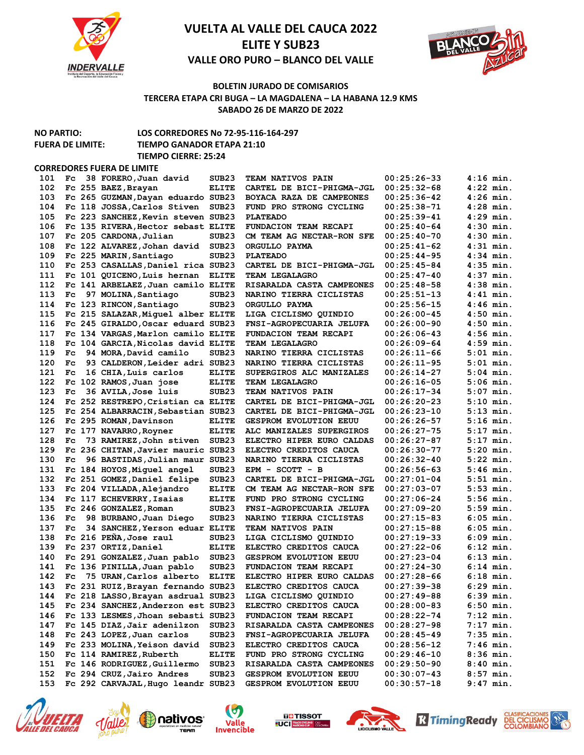



### **BOLETIN JURADO DE COMISARIOS TERCERA ETAPA CRI BUGA – LA MAGDALENA – LA HABANA 12.9 KMS SABADO 26 DE MARZO DE 2022**

**NO PARTIO: LOS CORREDORES No 72-95-116-164-297**

### **FUERA DE LIMITE: TIEMPO GANADOR ETAPA 21:10 TIEMPO CIERRE: 25:24**

**CORREDORES FUERA DE LIMITE** 

| 101 | Fc           | 38 FORERO, Juan david              | SUB23             | <b>TEAM NATIVOS PAIN</b>      | $00:25:26-33$   | $4:16$ min. |
|-----|--------------|------------------------------------|-------------------|-------------------------------|-----------------|-------------|
| 102 |              | Fc 255 BAEZ, Brayan                | <b>ELITE</b>      | CARTEL DE BICI-PHIGMA-JGL     | $00:25:32-68$   | $4:22$ min. |
| 103 |              | Fc 265 GUZMAN, Dayan eduardo SUB23 |                   | BOYACA RAZA DE CAMPEONES      | $00:25:36-42$   | $4:26$ min. |
| 104 |              | Fc 118 JOSSA, Carlos Stiven        | SUB <sub>23</sub> | FUND PRO STRONG CYCLING       | $00:25:38-71$   | $4:28$ min. |
| 105 |              | Fc 223 SANCHEZ, Kevin steven SUB23 |                   | <b>PLATEADO</b>               | $00:25:39-41$   | $4:29$ min. |
| 106 |              | Fc 135 RIVERA, Hector sebast ELITE |                   | FUNDACION TEAM RECAPI         | $00:25:40-64$   | $4:30$ min. |
| 107 |              | Fc 205 CARDONA, Julian             | SUB <sub>23</sub> | CM TEAM AG NECTAR-RON SFE     | $00:25:40-70$   | $4:30$ min. |
| 108 |              | Fc 122 ALVAREZ, Johan david        | SUB <sub>23</sub> | ORGULLO PAYMA                 | $00:25:41-62$   | $4:31$ min. |
| 109 |              | Fc 225 MARIN, Santiago             | SUB23             | <b>PLATEADO</b>               | $00:25:44-95$   | $4:34$ min. |
| 110 |              | Fc 253 CASALLAS, Daniel rica SUB23 |                   | CARTEL DE BICI-PHIGMA-JGL     | $00:25:45-84$   | $4:35$ min. |
| 111 |              | Fc 101 QUICENO, Luis hernan        | <b>ELITE</b>      | <b>TEAM LEGALAGRO</b>         | $00:25:47-40$   | $4:37$ min. |
| 112 |              | Fc 141 ARBELAEZ, Juan camilo ELITE |                   | RISARALDA CASTA CAMPEONES     | $00:25:48-58$   | $4:38$ min. |
| 113 | $_{\rm{Fc}}$ | 97 MOLINA, Santiago                | SUB <sub>23</sub> | NARINO TIERRA CICLISTAS       | $00:25:51-13$   | $4:41$ min. |
| 114 |              | Fc 123 RINCON, Santiago            | SUB <sub>23</sub> | ORGULLO PAYMA                 | $00:25:56-15$   | $4:46$ min. |
| 115 |              | Fc 215 SALAZAR, Miquel alber ELITE |                   | LIGA CICLISMO QUINDIO         | $00:26:00-45$   | $4:50$ min. |
| 116 |              | Fc 245 GIRALDO, Oscar eduard SUB23 |                   | FNSI-AGROPECUARIA JELUFA      | $00:26:00-90$   | $4:50$ min. |
| 117 |              | Fc 134 VARGAS, Marlon camilo ELITE |                   | FUNDACION TEAM RECAPI         | $00:26:06-43$   | $4:56$ min. |
| 118 |              | Fc 104 GARCIA, Nicolas david ELITE |                   | <b>TEAM LEGALAGRO</b>         | $00:26:09-64$   | $4:59$ min. |
| 119 | $_{\rm{Fc}}$ | 94 MORA, David camilo              | SUB23             | NARINO TIERRA CICLISTAS       | $00:26:11-66$   | $5:01$ min. |
| 120 | Fc.          | 93 CALDERON, Leider adri SUB23     |                   | NARINO TIERRA CICLISTAS       | $00:26:11-95$   | $5:01$ min. |
| 121 | Fc.          |                                    |                   |                               | $00:26:14-27$   | $5:04$ min. |
|     |              | 16 CHIA, Luis carlos               | <b>ELITE</b>      | SUPERGIROS ALC MANIZALES      |                 |             |
| 122 |              | Fc 102 RAMOS, Juan jose            | <b>ELITE</b>      | <b>TEAM LEGALAGRO</b>         | $00:26:16-05$   | $5:06$ min. |
| 123 | $_{\rm{Fc}}$ | 36 AVILA, Jose luis                | SUB <sub>23</sub> | TEAM NATIVOS PAIN             | $00:26:17-34$   | $5:07$ min. |
| 124 |              | Fc 252 RESTREPO, Cristian ca ELITE |                   | CARTEL DE BICI-PHIGMA-JGL     | $00:26:20-23$   | $5:10$ min. |
| 125 |              | Fc 254 ALBARRACIN, Sebastian SUB23 |                   | CARTEL DE BICI-PHIGMA-JGL     | $00:26:23-10$   | $5:13$ min. |
| 126 |              | Fc 295 ROMAN, Davinson             | <b>ELITE</b>      | <b>GESPROM EVOLUTION EEUU</b> | $00:26:26-57$   | $5:16$ min. |
| 127 |              | Fc 177 NAVARRO, Royner             | <b>ELITE</b>      | ALC MANIZALES SUPERGIROS      | $00:26:27-75$   | $5:17$ min. |
| 128 | Fc.          | 73 RAMIREZ, John stiven            | SUB <sub>23</sub> | ELECTRO HIPER EURO CALDAS     | $00:26:27-87$   | $5:17$ min. |
| 129 |              | Fc 236 CHITAN, Javier mauric SUB23 |                   | ELECTRO CREDITOS CAUCA        | $00:26:30-77$   | $5:20$ min. |
| 130 | Fc.          | 96 BASTIDAS, Julian maur SUB23     |                   | NARINO TIERRA CICLISTAS       | $00:26:32-40$   | $5:22$ min. |
| 131 |              | Fc 184 HOYOS, Miguel angel         | SUB23             | $EPM - SCOTT - B$             | $00:26:56-63$   | $5:46$ min. |
| 132 |              | Fc 251 GOMEZ, Daniel felipe        | SUB <sub>23</sub> | CARTEL DE BICI-PHIGMA-JGL     | $00:27:01-04$   | $5:51$ min. |
| 133 |              | Fc 204 VILLADA, Alejandro          | <b>ELITE</b>      | CM TEAM AG NECTAR-RON SFE     | $00:27:03-07$   | $5:53$ min. |
| 134 |              | Fc 117 ECHEVERRY, Isaias           | <b>ELITE</b>      | FUND PRO STRONG CYCLING       | $00:27:06-24$   | $5:56$ min. |
| 135 |              | Fc 246 GONZALEZ, Roman             | SUB <sub>23</sub> | FNSI-AGROPECUARIA JELUFA      | $00:27:09-20$   | $5:59$ min. |
| 136 | Fc.          | 98 BURBANO, Juan Diego             | SUB <sub>23</sub> | NARINO TIERRA CICLISTAS       | $00:27:15-83$   | $6:05$ min. |
| 137 | Fc.          | 34 SANCHEZ, Yerson eduar ELITE     |                   | <b>TEAM NATIVOS PAIN</b>      | $00:27:15-88$   | $6:05$ min. |
| 138 |              | Fc 216 PEÑA, Jose raul             | SUB <sub>23</sub> | LIGA CICLISMO QUINDIO         | $00:27:19-33$   | $6:09$ min. |
| 139 |              | Fc 237 ORTIZ, Daniel               | <b>ELITE</b>      | ELECTRO CREDITOS CAUCA        | $00:27:22-06$   | $6:12$ min. |
| 140 |              | Fc 291 GONZALEZ, Juan pablo        | SUB <sub>23</sub> | <b>GESPROM EVOLUTION EEUU</b> | $00:27:23-04$   | $6:13$ min. |
| 141 |              | Fc 136 PINILLA, Juan pablo         | SUB <sub>23</sub> | FUNDACION TEAM RECAPI         | $00:27:24-30$   | $6:14$ min. |
| 142 | Fc.          | 75 URAN, Carlos alberto            | <b>ELITE</b>      | ELECTRO HIPER EURO CALDAS     | $00:27:28-66$   | $6:18$ min. |
| 143 |              | Fc 231 RUIZ, Brayan fernando SUB23 |                   | ELECTRO CREDITOS CAUCA        | $00:27:39-38$   | $6:29$ min. |
| 144 |              | Fc 218 LASSO, Brayan asdrual SUB23 |                   | LIGA CICLISMO QUINDIO         | $00:27:49-88$   | $6:39$ min. |
| 145 |              | Fc 234 SANCHEZ, Anderzon est SUB23 |                   | ELECTRO CREDITOS CAUCA        | $00:28:00-83$   | $6:50$ min. |
| 146 |              | Fc 133 LESMES, Jhoan sebasti SUB23 |                   | FUNDACION TEAM RECAPI         | $00:28:22 - 74$ | $7:12$ min. |
| 147 |              | Fc 145 DIAZ, Jair adenilzon        | SUB <sub>23</sub> | RISARALDA CASTA CAMPEONES     | $00:28:27-98$   | $7:17$ min. |
| 148 |              | Fc 243 LOPEZ, Juan carlos          | SUB <sub>23</sub> | FNSI-AGROPECUARIA JELUFA      | $00:28:45-49$   | $7:35$ min. |
| 149 |              | Fc 233 MOLINA, Yeison david        | SUB <sub>23</sub> | ELECTRO CREDITOS CAUCA        | $00:28:56-12$   | $7:46$ min. |
| 150 |              | Fc 114 RAMIREZ, Ruberth            | <b>ELITE</b>      | FUND PRO STRONG CYCLING       | $00:29:46-10$   | $8:36$ min. |
| 151 |              | Fc 146 RODRIGUEZ, Guillermo        | SUB <sub>23</sub> | RISARALDA CASTA CAMPEONES     | $00:29:50-90$   | $8:40$ min. |
| 152 |              | Fc 294 CRUZ, Jairo Andres          | SUB <sub>23</sub> | GESPROM EVOLUTION EEUU        | $00:30:07-43$   | $8:57$ min. |
| 153 |              | Fc 292 CARVAJAL, Hugo leandr SUB23 |                   | GESPROM EVOLUTION EEUU        | $00:30:57-18$   | $9:47$ min. |
|     |              |                                    |                   |                               |                 |             |











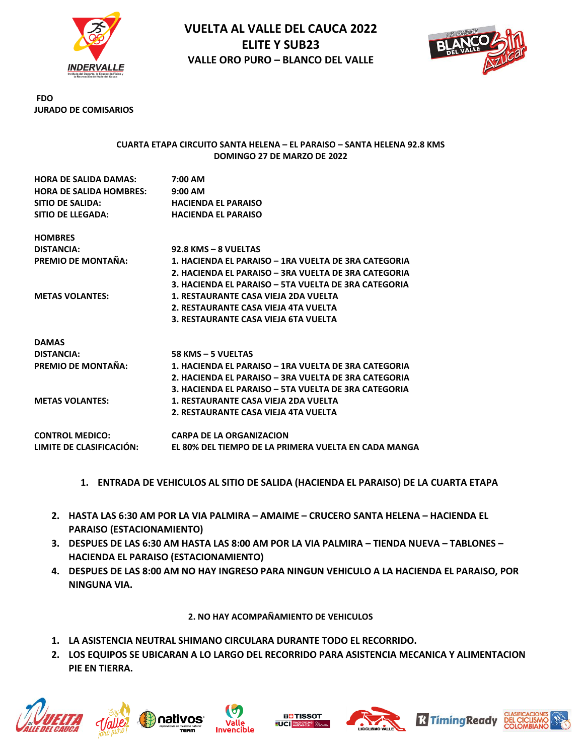



**FDO JURADO DE COMISARIOS**

### **CUARTA ETAPA CIRCUITO SANTA HELENA – EL PARAISO – SANTA HELENA 92.8 KMS DOMINGO 27 DE MARZO DE 2022**

| <b>HORA DE SALIDA DAMAS:</b>   | $7:00$ AM                                            |
|--------------------------------|------------------------------------------------------|
| <b>HORA DE SALIDA HOMBRES:</b> | $9:00$ AM                                            |
| SITIO DE SALIDA:               | <b>HACIENDA EL PARAISO</b>                           |
| SITIO DE LLEGADA:              | <b>HACIENDA EL PARAISO</b>                           |
| <b>HOMBRES</b>                 |                                                      |
| <b>DISTANCIA:</b>              | 92.8 KMS - 8 VUELTAS                                 |
| PREMIO DE MONTAÑA:             | 1. HACIENDA EL PARAISO - 1RA VUELTA DE 3RA CATEGORIA |
|                                | 2. HACIENDA EL PARAISO - 3RA VUELTA DE 3RA CATEGORIA |
|                                | 3. HACIENDA EL PARAISO - 5TA VUELTA DE 3RA CATEGORIA |
| <b>METAS VOLANTES:</b>         | 1. RESTAURANTE CASA VIEJA 2DA VUELTA                 |
|                                | 2. RESTAURANTE CASA VIEJA 4TA VUELTA                 |
|                                | 3. RESTAURANTE CASA VIEJA 6TA VUELTA                 |
| <b>DAMAS</b>                   |                                                      |
| <b>DISTANCIA:</b>              | 58 KMS - 5 VUELTAS                                   |
| PREMIO DE MONTAÑA:             | 1. HACIENDA EL PARAISO - 1RA VUELTA DE 3RA CATEGORIA |
|                                | 2. HACIENDA EL PARAISO – 3RA VUELTA DE 3RA CATEGORIA |
|                                | 3. HACIENDA EL PARAISO - 5TA VUELTA DE 3RA CATEGORIA |
| <b>METAS VOLANTES:</b>         | 1. RESTAURANTE CASA VIEJA 2DA VUELTA                 |
|                                | 2. RESTAURANTE CASA VIEJA 4TA VUELTA                 |
| <b>CONTROL MEDICO:</b>         | <b>CARPA DE LA ORGANIZACION</b>                      |
| LIMITE DE CLASIFICACIÓN:       | EL 80% DEL TIEMPO DE LA PRIMERA VUELTA EN CADA MANGA |

- **1. ENTRADA DE VEHICULOS AL SITIO DE SALIDA (HACIENDA EL PARAISO) DE LA CUARTA ETAPA**
- **2. HASTA LAS 6:30 AM POR LA VIA PALMIRA – AMAIME – CRUCERO SANTA HELENA – HACIENDA EL PARAISO (ESTACIONAMIENTO)**
- **3. DESPUES DE LAS 6:30 AM HASTA LAS 8:00 AM POR LA VIA PALMIRA – TIENDA NUEVA – TABLONES – HACIENDA EL PARAISO (ESTACIONAMIENTO)**
- **4. DESPUES DE LAS 8:00 AM NO HAY INGRESO PARA NINGUN VEHICULO A LA HACIENDA EL PARAISO, POR NINGUNA VIA.**

**2. NO HAY ACOMPAÑAMIENTO DE VEHICULOS**

- **1. LA ASISTENCIA NEUTRAL SHIMANO CIRCULARA DURANTE TODO EL RECORRIDO.**
- **2. LOS EQUIPOS SE UBICARAN A LO LARGO DEL RECORRIDO PARA ASISTENCIA MECANICA Y ALIMENTACION PIE EN TIERRA.**











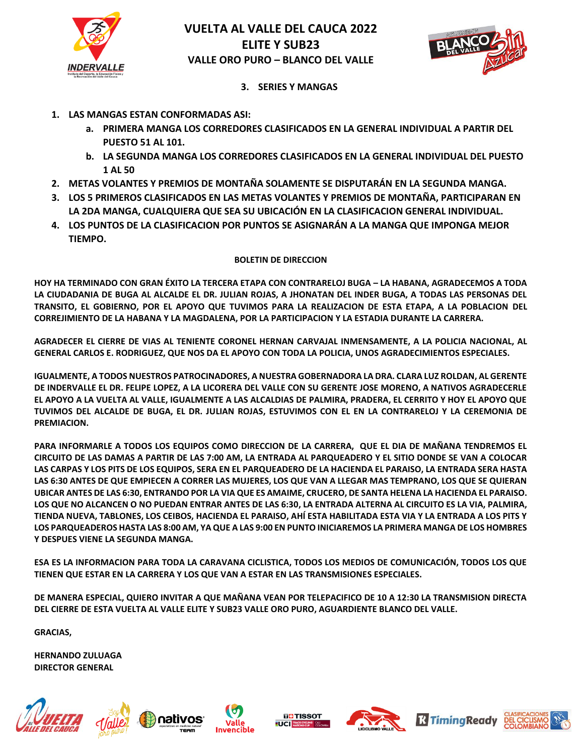



**3. SERIES Y MANGAS**

- **1. LAS MANGAS ESTAN CONFORMADAS ASI:**
	- **a. PRIMERA MANGA LOS CORREDORES CLASIFICADOS EN LA GENERAL INDIVIDUAL A PARTIR DEL PUESTO 51 AL 101.**
	- **b. LA SEGUNDA MANGA LOS CORREDORES CLASIFICADOS EN LA GENERAL INDIVIDUAL DEL PUESTO 1 AL 50**
- **2. METAS VOLANTES Y PREMIOS DE MONTAÑA SOLAMENTE SE DISPUTARÁN EN LA SEGUNDA MANGA.**
- **3. LOS 5 PRIMEROS CLASIFICADOS EN LAS METAS VOLANTES Y PREMIOS DE MONTAÑA, PARTICIPARAN EN LA 2DA MANGA, CUALQUIERA QUE SEA SU UBICACIÓN EN LA CLASIFICACION GENERAL INDIVIDUAL.**
- **4. LOS PUNTOS DE LA CLASIFICACION POR PUNTOS SE ASIGNARÁN A LA MANGA QUE IMPONGA MEJOR TIEMPO.**

# **BOLETIN DE DIRECCION**

**HOY HA TERMINADO CON GRAN ÉXITO LA TERCERA ETAPA CON CONTRARELOJ BUGA – LA HABANA, AGRADECEMOS A TODA LA CIUDADANIA DE BUGA AL ALCALDE EL DR. JULIAN ROJAS, A JHONATAN DEL INDER BUGA, A TODAS LAS PERSONAS DEL TRANSITO, EL GOBIERNO, POR EL APOYO QUE TUVIMOS PARA LA REALIZACION DE ESTA ETAPA, A LA POBLACION DEL CORREJIMIENTO DE LA HABANA Y LA MAGDALENA, POR LA PARTICIPACION Y LA ESTADIA DURANTE LA CARRERA.**

**AGRADECER EL CIERRE DE VIAS AL TENIENTE CORONEL HERNAN CARVAJAL INMENSAMENTE, A LA POLICIA NACIONAL, AL GENERAL CARLOS E. RODRIGUEZ, QUE NOS DA EL APOYO CON TODA LA POLICIA, UNOS AGRADECIMIENTOS ESPECIALES.**

**IGUALMENTE, A TODOS NUESTROS PATROCINADORES, A NUESTRA GOBERNADORA LA DRA. CLARA LUZ ROLDAN, AL GERENTE DE INDERVALLE EL DR. FELIPE LOPEZ, A LA LICORERA DEL VALLE CON SU GERENTE JOSE MORENO, A NATIVOS AGRADECERLE EL APOYO A LA VUELTA AL VALLE, IGUALMENTE A LAS ALCALDIAS DE PALMIRA, PRADERA, EL CERRITO Y HOY EL APOYO QUE TUVIMOS DEL ALCALDE DE BUGA, EL DR. JULIAN ROJAS, ESTUVIMOS CON EL EN LA CONTRARELOJ Y LA CEREMONIA DE PREMIACION.** 

**PARA INFORMARLE A TODOS LOS EQUIPOS COMO DIRECCION DE LA CARRERA, QUE EL DIA DE MAÑANA TENDREMOS EL CIRCUITO DE LAS DAMAS A PARTIR DE LAS 7:00 AM, LA ENTRADA AL PARQUEADERO Y EL SITIO DONDE SE VAN A COLOCAR LAS CARPAS Y LOS PITS DE LOS EQUIPOS, SERA EN EL PARQUEADERO DE LA HACIENDA EL PARAISO, LA ENTRADA SERA HASTA LAS 6:30 ANTES DE QUE EMPIECEN A CORRER LAS MUJERES, LOS QUE VAN A LLEGAR MAS TEMPRANO, LOS QUE SE QUIERAN UBICAR ANTES DE LAS 6:30, ENTRANDO POR LA VIA QUE ES AMAIME, CRUCERO, DE SANTA HELENA LA HACIENDA EL PARAISO. LOS QUE NO ALCANCEN O NO PUEDAN ENTRAR ANTES DE LAS 6:30, LA ENTRADA ALTERNA AL CIRCUITO ES LA VIA, PALMIRA, TIENDA NUEVA, TABLONES, LOS CEIBOS, HACIENDA EL PARAISO, AHÍ ESTA HABILITADA ESTA VIA Y LA ENTRADA A LOS PITS Y LOS PARQUEADEROS HASTA LAS 8:00 AM, YA QUE A LAS 9:00 EN PUNTO INICIAREMOS LA PRIMERA MANGA DE LOS HOMBRES Y DESPUES VIENE LA SEGUNDA MANGA.** 

**ESA ES LA INFORMACION PARA TODA LA CARAVANA CICLISTICA, TODOS LOS MEDIOS DE COMUNICACIÓN, TODOS LOS QUE TIENEN QUE ESTAR EN LA CARRERA Y LOS QUE VAN A ESTAR EN LAS TRANSMISIONES ESPECIALES.**

**DE MANERA ESPECIAL, QUIERO INVITAR A QUE MAÑANA VEAN POR TELEPACIFICO DE 10 A 12:30 LA TRANSMISION DIRECTA DEL CIERRE DE ESTA VUELTA AL VALLE ELITE Y SUB23 VALLE ORO PURO, AGUARDIENTE BLANCO DEL VALLE.** 

**GRACIAS,** 

**HERNANDO ZULUAGA DIRECTOR GENERAL**